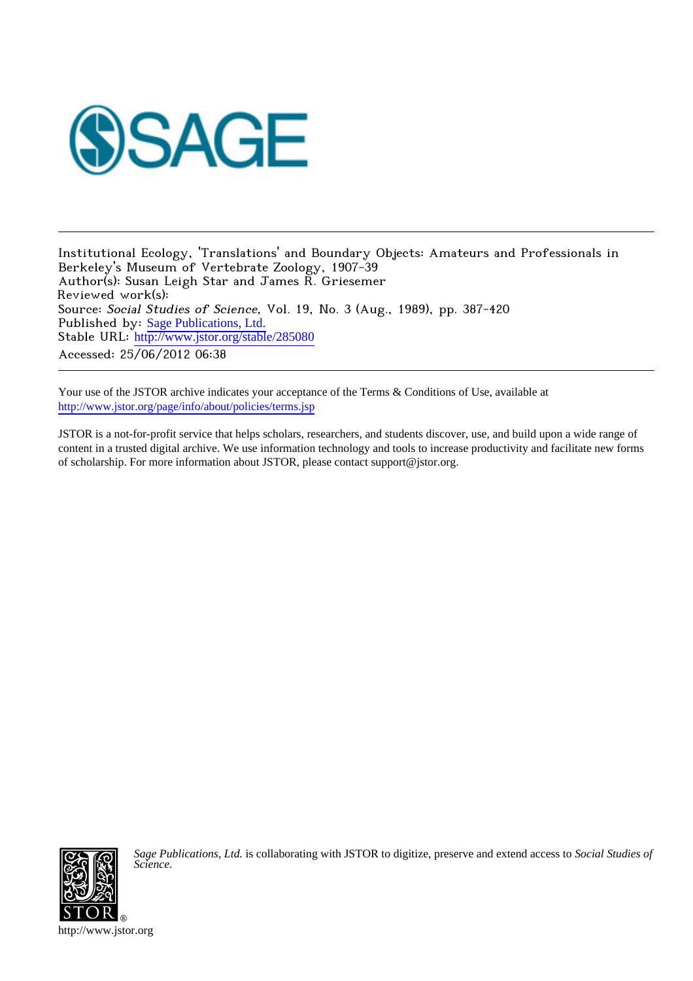

Institutional Ecology, 'Translations' and Boundary Objects: Amateurs and Professionals in Berkeley's Museum of Vertebrate Zoology, 1907-39 Author(s): Susan Leigh Star and James R. Griesemer Reviewed work(s): Source: Social Studies of Science, Vol. 19, No. 3 (Aug., 1989), pp. 387-420 Published by: [Sage Publications, Ltd.](http://www.jstor.org/action/showPublisher?publisherCode=sageltd) Stable URL: http://www.jstor.org/stable/285080 Accessed: 25/06/2012 06:38

Your use of the JSTOR archive indicates your acceptance of the Terms & Conditions of Use, available at <http://www.jstor.org/page/info/about/policies/terms.jsp>

JSTOR is a not-for-profit service that helps scholars, researchers, and students discover, use, and build upon a wide range of content in a trusted digital archive. We use information technology and tools to increase productivity and facilitate new forms of scholarship. For more information about JSTOR, please contact support@jstor.org.



*Sage Publications, Ltd.* is collaborating with JSTOR to digitize, preserve and extend access to *Social Studies of Science.*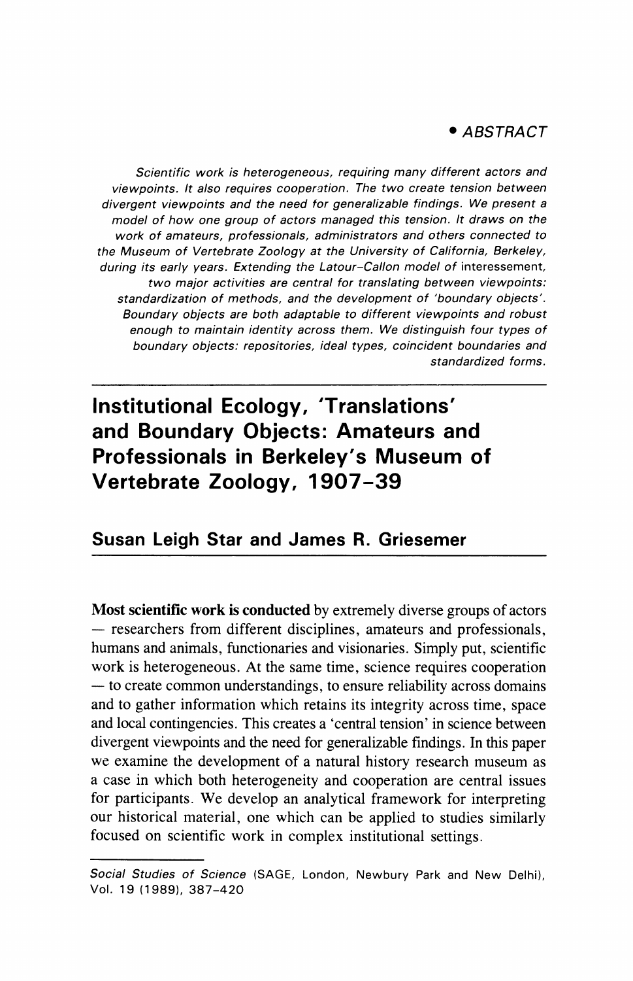# **\* ABSTRACT**

**Scientific work is heterogeneous, requiring many different actors and viewpoints. It also requires cooperation. The two create tension between divergent viewpoints and the need for generalizable findings. We present a model of how one group of actors managed this tension. It draws on the work of amateurs, professionals, administrators and others connected to the Museum of Vertebrate Zoology at the University of California, Berkeley, during its early years. Extending the Latour-Callon model of interessement, two major activities are central for translating between viewpoints: standardization of methods, and the development of 'boundary objects'. Boundary objects are both adaptable to different viewpoints and robust enough to maintain identity across them. We distinguish four types of boundary objects: repositories, ideal types, coincident boundaries and standardized forms.** 

# **Institutional Ecology, 'Translations' and Boundary Objects: Amateurs and Professionals in Berkeley's Museum of Vertebrate Zoology, 1907-39**

# **Susan Leigh Star and James R. Griesemer**

**Most scientific work is conducted by extremely diverse groups of actors - researchers from different disciplines, amateurs and professionals, humans and animals, functionaries and visionaries. Simply put, scientific work is heterogeneous. At the same time, science requires cooperation - to create common understandings, to ensure reliability across domains and to gather information which retains its integrity across time, space and local contingencies. This creates a 'central tension' in science between divergent viewpoints and the need for generalizable findings. In this paper we examine the development of a natural history research museum as a case in which both heterogeneity and cooperation are central issues for participants. We develop an analytical framework for interpreting our historical material, one which can be applied to studies similarly focused on scientific work in complex institutional settings.** 

**Social Studies of Science (SAGE, London, Newbury Park and New Delhi), Vol. 19 (1989), 387-420**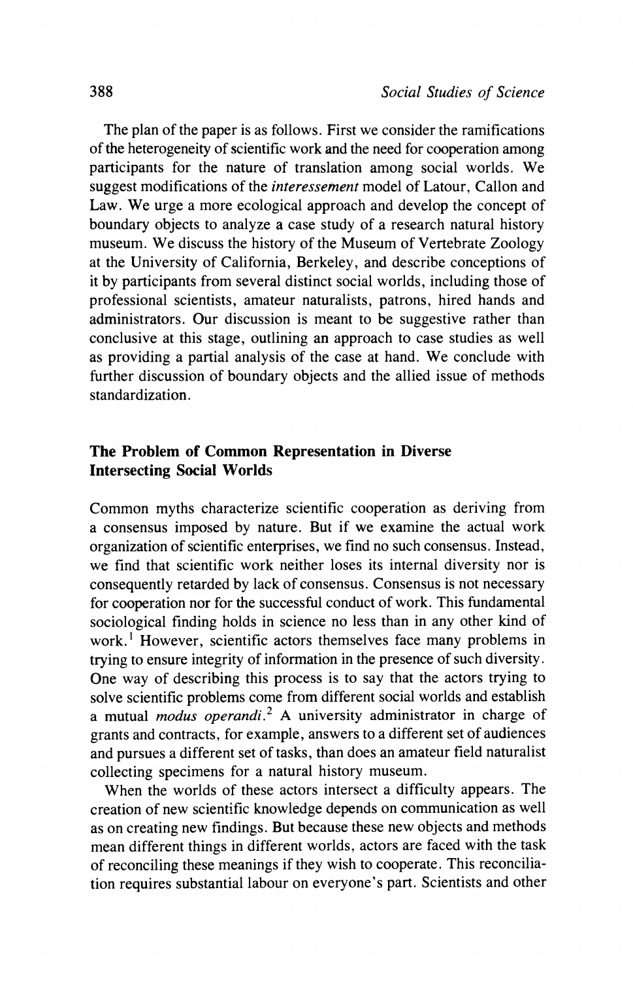**The plan of the paper is as follows. First we consider the ramifications of the heterogeneity of scientific work and the need for cooperation among participants for the nature of translation among social worlds. We suggest modifications of the interessement model of Latour, Callon and Law. We urge a more ecological approach and develop the concept of boundary objects to analyze a case study of a research natural history museum. We discuss the history of the Museum of Vertebrate Zoology at the University of California, Berkeley, and describe conceptions of it by participants from several distinct social worlds, including those of professional scientists, amateur naturalists, patrons, hired hands and administrators. Our discussion is meant to be suggestive rather than conclusive at this stage, outlining an approach to case studies as well as providing a partial analysis of the case at hand. We conclude with further discussion of boundary objects and the allied issue of methods standardization.** 

# **The Problem of Common Representation in Diverse Intersecting Social Worlds**

**Common myths characterize scientific cooperation as deriving from a consensus imposed by nature. But if we examine the actual work organization of scientific enterprises, we find no such consensus. Instead, we find that scientific work neither loses its internal diversity nor is consequently retarded by lack of consensus. Consensus is not necessary for cooperation nor for the successful conduct of work. This fundamental sociological finding holds in science no less than in any other kind of work.1 However, scientific actors themselves face many problems in trying to ensure integrity of information in the presence of such diversity. One way of describing this process is to say that the actors trying to solve scientific problems come from different social worlds and establish a mutual modus operandi.2 A university administrator in charge of grants and contracts, for example, answers to a different set of audiences and pursues a different set of tasks, than does an amateur field naturalist collecting specimens for a natural history museum.** 

**When the worlds of these actors intersect a difficulty appears. The creation of new scientific knowledge depends on communication as well as on creating new findings. But because these new objects and methods mean different things in different worlds, actors are faced with the task of reconciling these meanings if they wish to cooperate. This reconciliation requires substantial labour on everyone's part. Scientists and other**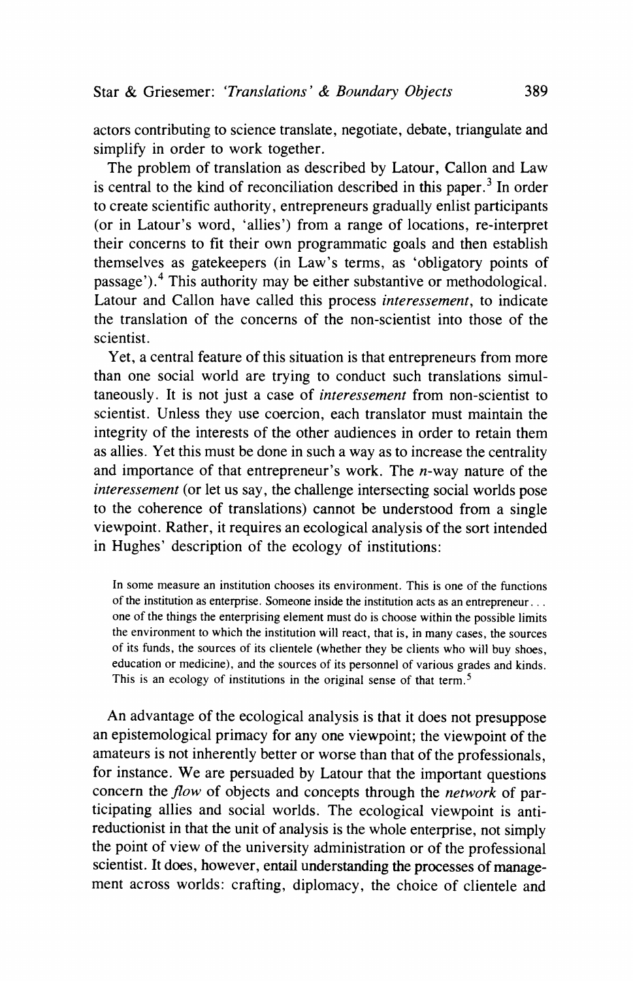**actors contributing to science translate, negotiate, debate, triangulate and simplify in order to work together.** 

**The problem of translation as described by Latour, Callon and Law is central to the kind of reconciliation described in this paper.3 In order to create scientific authority, entrepreneurs gradually enlist participants (or in Latour's word, 'allies') from a range of locations, re-interpret their concerns to fit their own programmatic goals and then establish themselves as gatekeepers (in Law's terms, as 'obligatory points of passage').4 This authority may be either substantive or methodological. Latour and Callon have called this process interessement, to indicate the translation of the concerns of the non-scientist into those of the scientist.** 

**Yet, a central feature of this situation is that entrepreneurs from more than one social world are trying to conduct such translations simultaneously. It is not just a case of interessement from non-scientist to scientist. Unless they use coercion, each translator must maintain the integrity of the interests of the other audiences in order to retain them as allies. Yet this must be done in such a way as to increase the centrality and importance of that entrepreneur's work. The n-way nature of the interessement (or let us say, the challenge intersecting social worlds pose to the coherence of translations) cannot be understood from a single viewpoint. Rather, it requires an ecological analysis of the sort intended in Hughes' description of the ecology of institutions:** 

**In some measure an institution chooses its environment. This is one of the functions of the institution as enterprise. Someone inside the institution acts as an entrepreneur... one of the things the enterprising element must do is choose within the possible limits the environment to which the institution will react, that is, in many cases, the sources of its funds, the sources of its clientele (whether they be clients who will buy shoes, education or medicine), and the sources of its personnel of various grades and kinds. This is an ecology of institutions in the original sense of that term.5** 

**An advantage of the ecological analysis is that it does not presuppose an epistemological primacy for any one viewpoint; the viewpoint of the amateurs is not inherently better or worse than that of the professionals, for instance. We are persuaded by Latour that the important questions concern the flow of objects and concepts through the network of participating allies and social worlds. The ecological viewpoint is antireductionist in that the unit of analysis is the whole enterprise, not simply the point of view of the university administration or of the professional scientist. It does, however, entail understanding the processes of management across worlds: crafting, diplomacy, the choice of clientele and**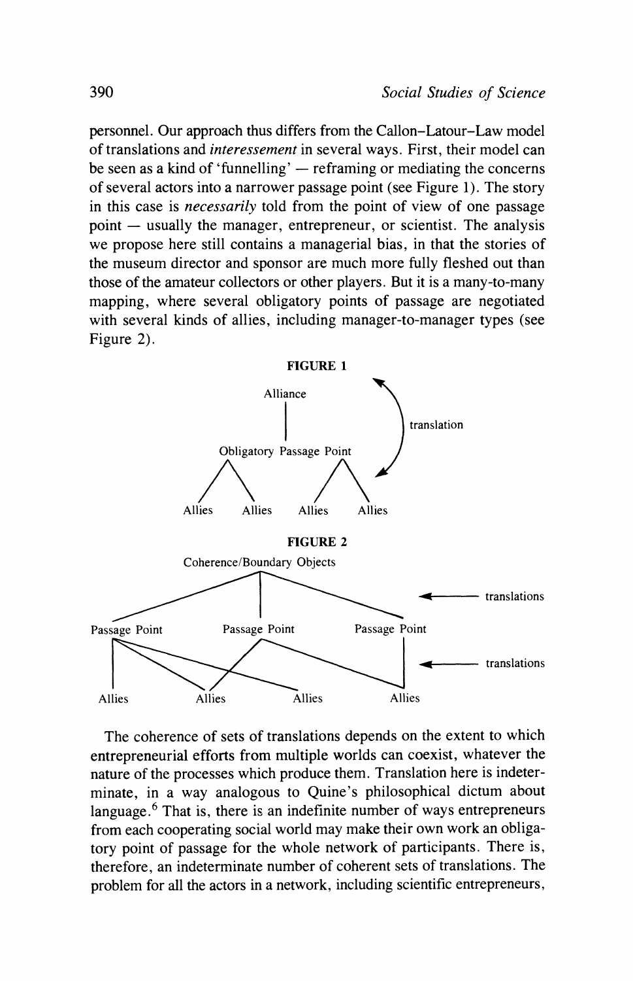**personnel. Our approach thus differs from the Callon-Latour-Law model of translations and interessement in several ways. First, their model can**  be seen as a kind of 'funnelling' — reframing or mediating the concerns **of several actors into a narrower passage point (see Figure 1). The story in this case is necessarily told from the point of view of one passage point – usually the manager, entrepreneur, or scientist. The analysis we propose here still contains a managerial bias, in that the stories of the museum director and sponsor are much more fully fleshed out than those of the amateur collectors or other players. But it is a many-to-many mapping, where several obligatory points of passage are negotiated with several kinds of allies, including manager-to-manager types (see Figure 2).** 



**The coherence of sets of translations depends on the extent to which entrepreneurial efforts from multiple worlds can coexist, whatever the nature of the processes which produce them. Translation here is indeterminate, in a way analogous to Quine's philosophical dictum about language.6 That is, there is an indefinite number of ways entrepreneurs from each cooperating social world may make their own work an obligatory point of passage for the whole network of participants. There is, therefore, an indeterminate number of coherent sets of translations. The problem for all the actors in a network, including scientific entrepreneurs,**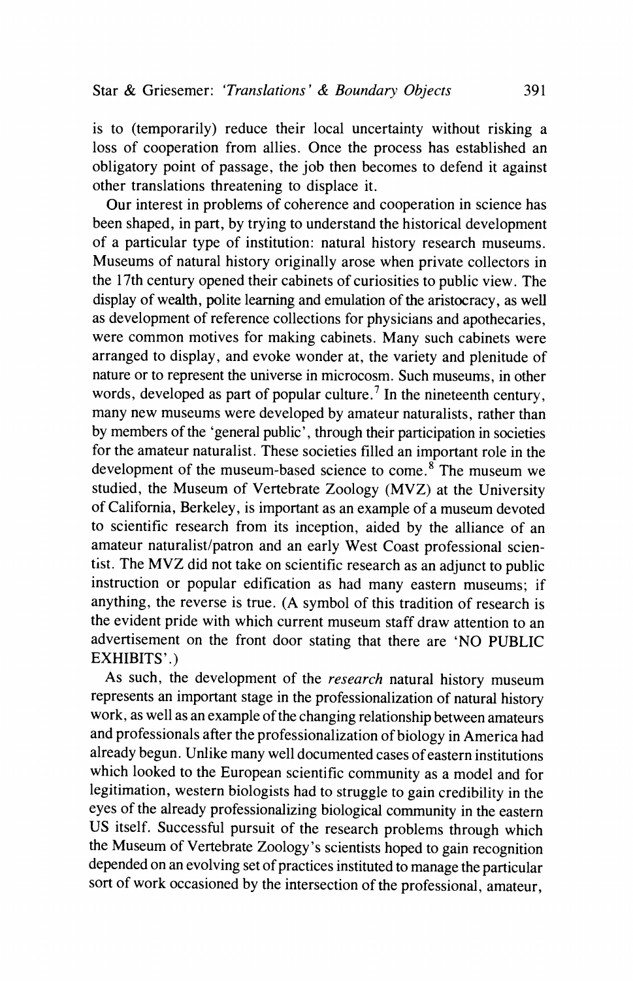**is to (temporarily) reduce their local uncertainty without risking a loss of cooperation from allies. Once the process has established an obligatory point of passage, the job then becomes to defend it against other translations threatening to displace it.** 

**Our interest in problems of coherence and cooperation in science has been shaped, in part, by trying to understand the historical development of a particular type of institution: natural history research museums. Museums of natural history originally arose when private collectors in the 17th century opened their cabinets of curiosities to public view. The display of wealth, polite learning and emulation of the aristocracy, as well as development of reference collections for physicians and apothecaries, were common motives for making cabinets. Many such cabinets were arranged to display, and evoke wonder at, the variety and plenitude of nature or to represent the universe in microcosm. Such museums, in other**  words, developed as part of popular culture.<sup>7</sup> In the nineteenth century, **many new museums were developed by amateur naturalists, rather than by members of the 'general public', through their participation in societies for the amateur naturalist. These societies filled an important role in the development of the museum-based science to come.8 The museum we studied, the Museum of Vertebrate Zoology (MVZ) at the University of California, Berkeley, is important as an example of a museum devoted to scientific research from its inception, aided by the alliance of an amateur naturalist/patron and an early West Coast professional scientist. The MVZ did not take on scientific research as an adjunct to public instruction or popular edification as had many eastern museums; if anything, the reverse is true. (A symbol of this tradition of research is the evident pride with which current museum staff draw attention to an advertisement on the front door stating that there are 'NO PUBLIC EXHIBITS'.)** 

**As such, the development of the research natural history museum represents an important stage in the professionalization of natural history work, as well as an example of the changing relationship between amateurs and professionals after the professionalization of biology in America had already begun. Unlike many well documented cases of eastern institutions which looked to the European scientific community as a model and for legitimation, western biologists had to struggle to gain credibility in the eyes of the already professionalizing biological community in the eastern US itself. Successful pursuit of the research problems through which the Museum of Vertebrate Zoology's scientists hoped to gain recognition depended on an evolving set of practices instituted to manage the particular sort of work occasioned by the intersection of the professional, amateur,**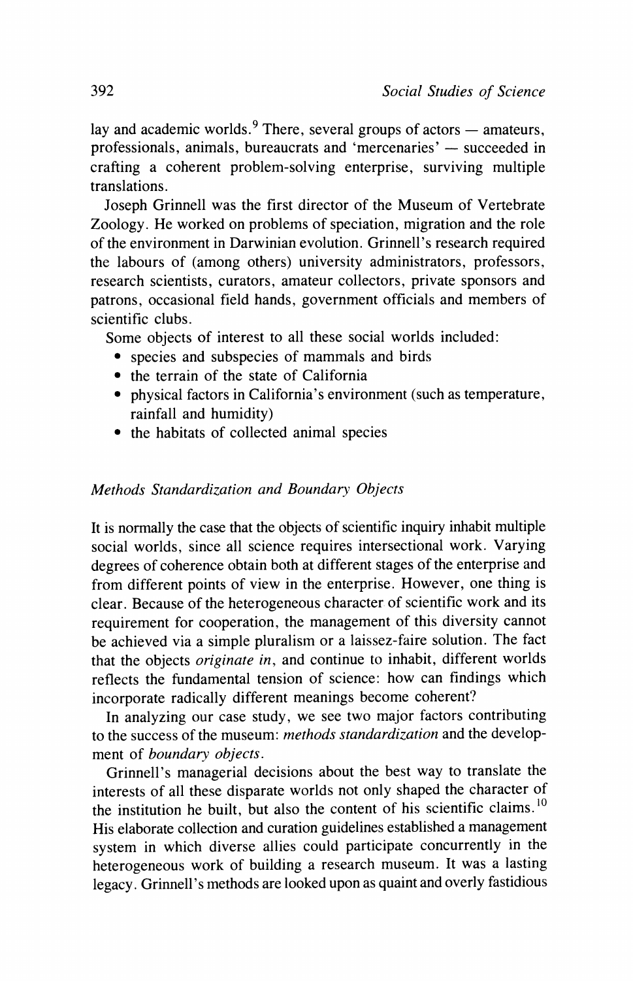**lay and academic worlds.9 There, several groups of actors - amateurs,**  professionals, animals, bureaucrats and 'mercenaries' — succeeded in **crafting a coherent problem-solving enterprise, surviving multiple translations.** 

**Joseph Grinnell was the first director of the Museum of Vertebrate Zoology. He worked on problems of speciation, migration and the role of the environment in Darwinian evolution. Grinnell's research required the labours of (among others) university administrators, professors, research scientists, curators, amateur collectors, private sponsors and patrons, occasional field hands, government officials and members of scientific clubs.** 

**Some objects of interest to all these social worlds included:** 

- **\* species and subspecies of mammals and birds**
- **\* the terrain of the state of California**
- **\* physical factors in California's environment (such as temperature, rainfall and humidity)**
- **\* the habitats of collected animal species**

# **Methods Standardization and Boundary Objects**

**It is normally the case that the objects of scientific inquiry inhabit multiple social worlds, since all science requires intersectional work. Varying degrees of coherence obtain both at different stages of the enterprise and from different points of view in the enterprise. However, one thing is clear. Because of the heterogeneous character of scientific work and its requirement for cooperation, the management of this diversity cannot be achieved via a simple pluralism or a laissez-faire solution. The fact that the objects originate in, and continue to inhabit, different worlds reflects the fundamental tension of science: how can findings which incorporate radically different meanings become coherent?** 

**In analyzing our case study, we see two major factors contributing to the success of the museum: methods standardization and the development of boundary objects.** 

**Grinnell's managerial decisions about the best way to translate the interests of all these disparate worlds not only shaped the character of the institution he built, but also the content of his scientific claims.10 His elaborate collection and curation guidelines established a management system in which diverse allies could participate concurrently in the heterogeneous work of building a research museum. It was a lasting legacy. Grinnell's methods are looked upon as quaint and overly fastidious**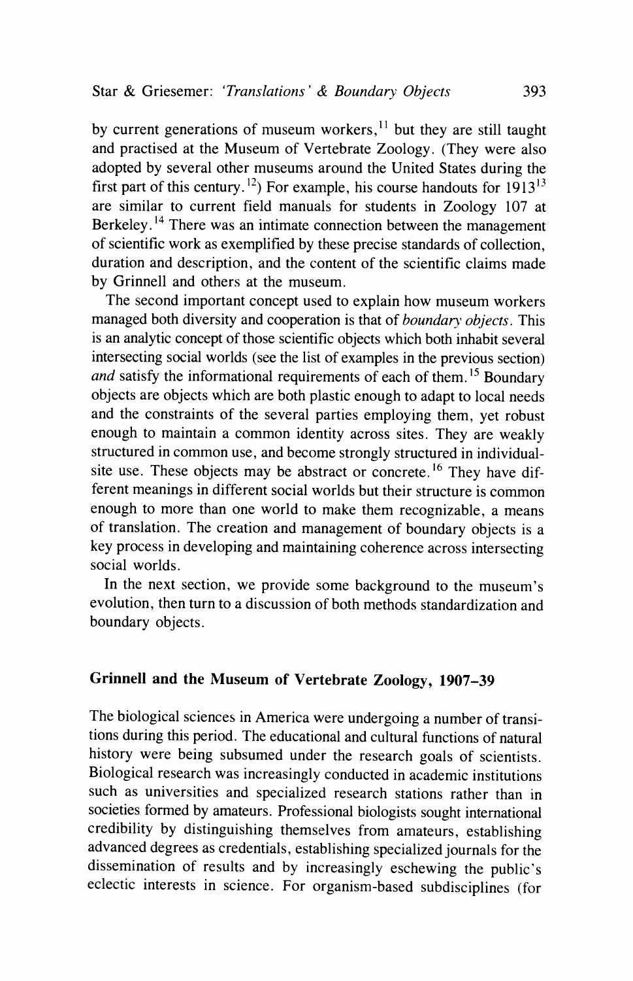by current generations of museum workers,<sup>11</sup> but they are still taught **and practised at the Museum of Vertebrate Zoology. (They were also adopted by several other museums around the United States during the**  first part of this century.<sup>12</sup>) For example, his course handouts for  $1913^{13}$ **are similar to current field manuals for students in Zoology 107 at Berkeley.14 There was an intimate connection between the management of scientific work as exemplified by these precise standards of collection, duration and description, and the content of the scientific claims made by Grinnell and others at the museum.** 

**The second important concept used to explain how museum workers managed both diversity and cooperation is that of boundary objects. This is an analytic concept of those scientific objects which both inhabit several intersecting social worlds (see the list of examples in the previous section) and satisfy the informational requirements of each of them.15 Boundary objects are objects which are both plastic enough to adapt to local needs and the constraints of the several parties employing them, yet robust enough to maintain a common identity across sites. They are weakly structured in common use, and become strongly structured in individualsite use. These objects may be abstract or concrete. 16 They have different meanings in different social worlds but their structure is common enough to more than one world to make them recognizable, a means of translation. The creation and management of boundary objects is a key process in developing and maintaining coherence across intersecting social worlds.** 

**In the next section, we provide some background to the museum's evolution, then turn to a discussion of both methods standardization and boundary objects.** 

# **Grinnell and the Museum of Vertebrate Zoology, 1907-39**

**The biological sciences in America were undergoing a number of transitions during this period. The educational and cultural functions of natural history were being subsumed under the research goals of scientists. Biological research was increasingly conducted in academic institutions such as universities and specialized research stations rather than in societies formed by amateurs. Professional biologists sought international credibility by distinguishing themselves from amateurs, establishing advanced degrees as credentials, establishing specialized journals for the dissemination of results and by increasingly eschewing the public's eclectic interests in science. For organism-based subdisciplines (for**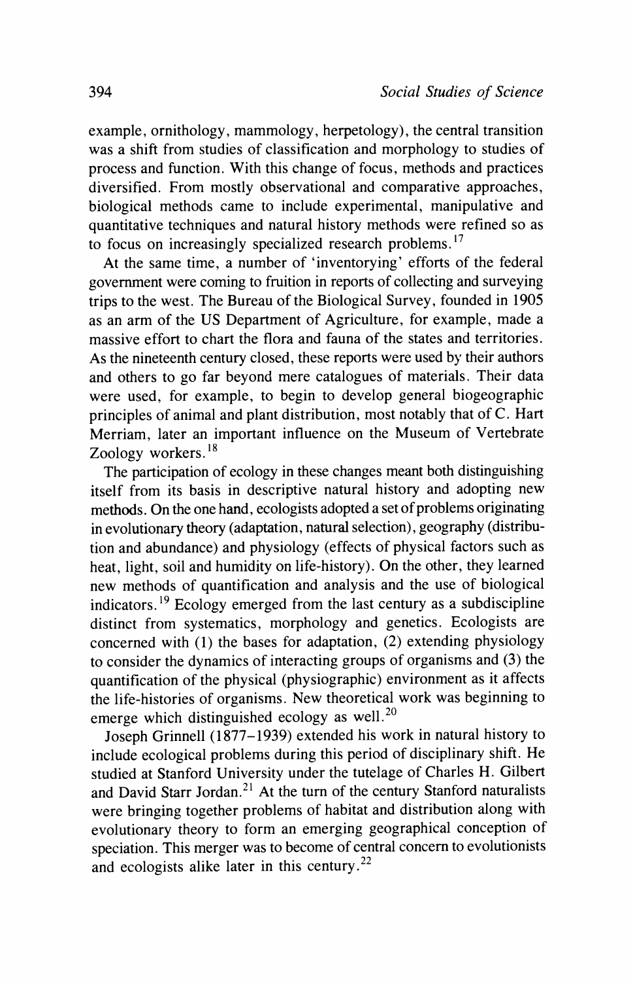**example, ornithology, mammology, herpetology), the central transition was a shift from studies of classification and morphology to studies of process and function. With this change of focus, methods and practices diversified. From mostly observational and comparative approaches, biological methods came to include experimental, manipulative and quantitative techniques and natural history methods were refined so as to focus on increasingly specialized research problems.'7** 

**At the same time, a number of 'inventorying' efforts of the federal government were coming to fruition in reports of collecting and surveying trips to the west. The Bureau of the Biological Survey, founded in 1905 as an arm of the US Department of Agriculture, for example, made a massive effort to chart the flora and fauna of the states and territories. As the nineteenth century closed, these reports were used by their authors and others to go far beyond mere catalogues of materials. Their data were used, for example, to begin to develop general biogeographic principles of animal and plant distribution, most notably that of C. Hart Merriam, later an important influence on the Museum of Vertebrate Zoology workers.18** 

**The participation of ecology in these changes meant both distinguishing itself from its basis in descriptive natural history and adopting new methods. On the one hand, ecologists adopted a set of problems originating in evolutionary theory (adaptation, natural selection), geography (distribution and abundance) and physiology (effects of physical factors such as heat, light, soil and humidity on life-history). On the other, they learned new methods of quantification and analysis and the use of biological indicators.19 Ecology emerged from the last century as a subdiscipline distinct from systematics, morphology and genetics. Ecologists are concerned with (1) the bases for adaptation, (2) extending physiology to consider the dynamics of interacting groups of organisms and (3) the quantification of the physical (physiographic) environment as it affects the life-histories of organisms. New theoretical work was beginning to emerge which distinguished ecology as well.20** 

**Joseph Grinnell (1877-1939) extended his work in natural history to include ecological problems during this period of disciplinary shift. He studied at Stanford University under the tutelage of Charles H. Gilbert and David Starr Jordan.21 At the turn of the century Stanford naturalists were bringing together problems of habitat and distribution along with evolutionary theory to form an emerging geographical conception of speciation. This merger was to become of central concern to evolutionists and ecologists alike later in this century.22**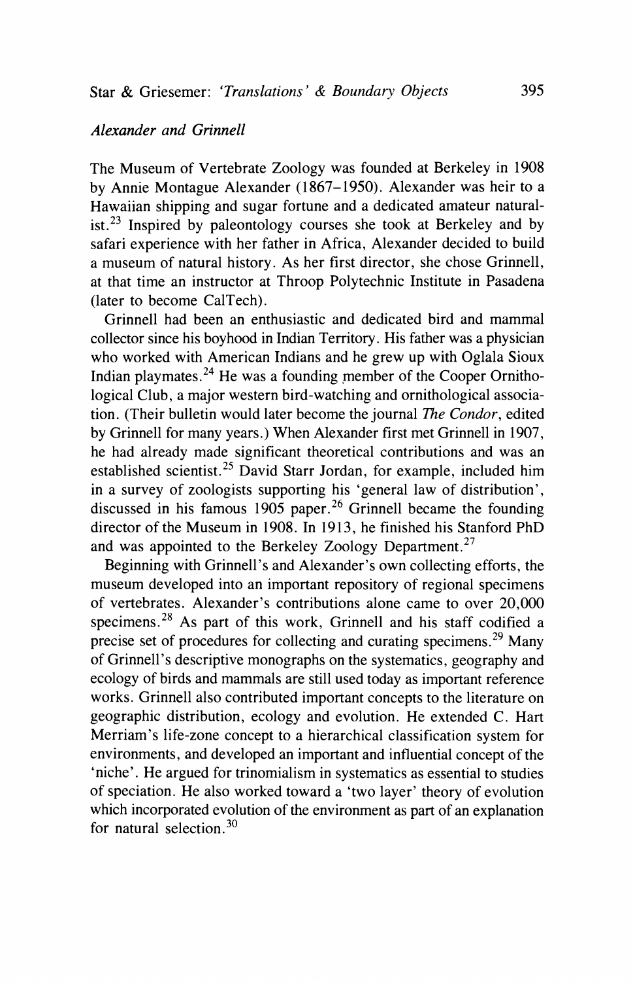## **Alexander and Grinnell**

**The Museum of Vertebrate Zoology was founded at Berkeley in 1908 by Annie Montague Alexander (1867-1950). Alexander was heir to a Hawaiian shipping and sugar fortune and a dedicated amateur naturalist.23 Inspired by paleontology courses she took at Berkeley and by safari experience with her father in Africa, Alexander decided to build a museum of natural history. As her first director, she chose Grinnell, at that time an instructor at Throop Polytechnic Institute in Pasadena (later to become CalTech).** 

**Grinnell had been an enthusiastic and dedicated bird and mammal collector since his boyhood in Indian Territory. His father was a physician who worked with American Indians and he grew up with Oglala Sioux Indian playmates.24 He was a founding member of the Cooper Ornithological Club, a major western bird-watching and ornithological association. (Their bulletin would later become the journal The Condor, edited by Grinnell for many years.) When Alexander first met Grinnell in 1907, he had already made significant theoretical contributions and was an established scientist.25 David Starr Jordan, for example, included him in a survey of zoologists supporting his 'general law of distribution', discussed in his famous 1905 paper.26 Grinnell became the founding director of the Museum in 1908. In 1913, he finished his Stanford PhD and was appointed to the Berkeley Zoology Department.27** 

**Beginning with Grinnell's and Alexander's own collecting efforts, the museum developed into an important repository of regional specimens of vertebrates. Alexander's contributions alone came to over 20,000 specimens.28 As part of this work, Grinnell and his staff codified a precise set of procedures for collecting and curating specimens.29 Many of Grinnell's descriptive monographs on the systematics, geography and ecology of birds and mammals are still used today as important reference works. Grinnell also contributed important concepts to the literature on geographic distribution, ecology and evolution. He extended C. Hart Merriam's life-zone concept to a hierarchical classification system for environments, and developed an important and influential concept of the 'niche'. He argued for trinomialism in systematics as essential to studies of speciation. He also worked toward a 'two layer' theory of evolution which incorporated evolution of the environment as part of an explanation for natural selection.30**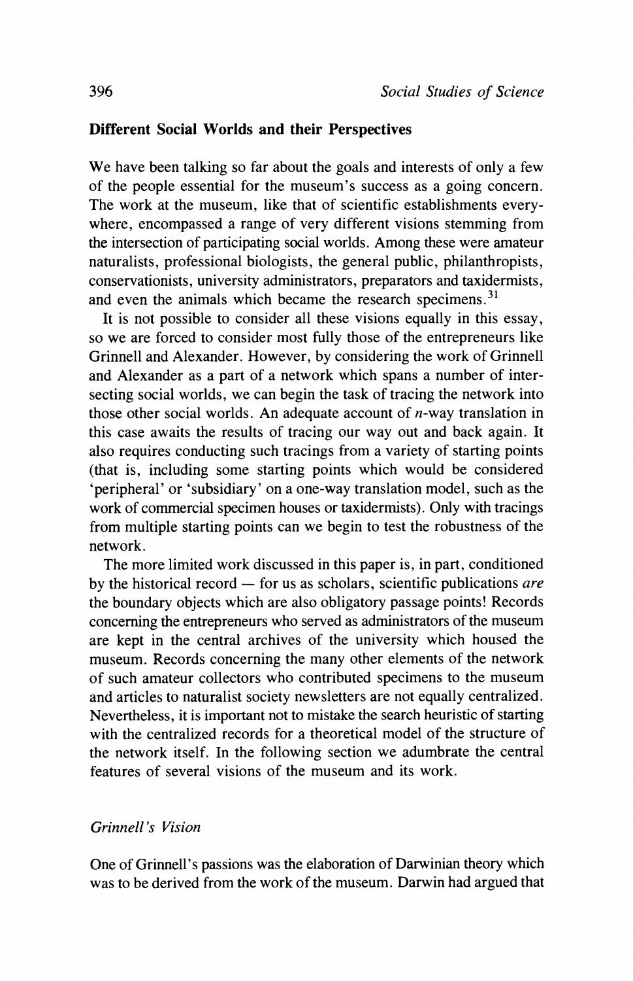### **Different Social Worlds and their Perspectives**

**We have been talking so far about the goals and interests of only a few of the people essential for the museum's success as a going concern. The work at the museum, like that of scientific establishments everywhere, encompassed a range of very different visions stemming from the intersection of participating social worlds. Among these were amateur naturalists, professional biologists, the general public, philanthropists, conservationists, university administrators, preparators and taxidermists, and even the animals which became the research specimens.31** 

**It is not possible to consider all these visions equally in this essay, so we are forced to consider most fully those of the entrepreneurs like Grinnell and Alexander. However, by considering the work of Grinnell and Alexander as a part of a network which spans a number of intersecting social worlds, we can begin the task of tracing the network into those other social worlds. An adequate account of n-way translation in this case awaits the results of tracing our way out and back again. It also requires conducting such tracings from a variety of starting points (that is, including some starting points which would be considered 'peripheral' or 'subsidiary' on a one-way translation model, such as the work of commercial specimen houses or taxidermists). Only with tracings from multiple starting points can we begin to test the robustness of the network.** 

**The more limited work discussed in this paper is, in part, conditioned by the historical record - for us as scholars, scientific publications are the boundary objects which are also obligatory passage points! Records concerning the entrepreneurs who served as administrators of the museum are kept in the central archives of the university which housed the museum. Records concerning the many other elements of the network of such amateur collectors who contributed specimens to the museum and articles to naturalist society newsletters are not equally centralized. Nevertheless, it is important not to mistake the search heuristic of starting with the centralized records for a theoretical model of the structure of the network itself. In the following section we adumbrate the central features of several visions of the museum and its work.** 

# **Grinnell's Vision**

**One of Grinnell's passions was the elaboration of Darwinian theory which was to be derived from the work of the museum. Darwin had argued that**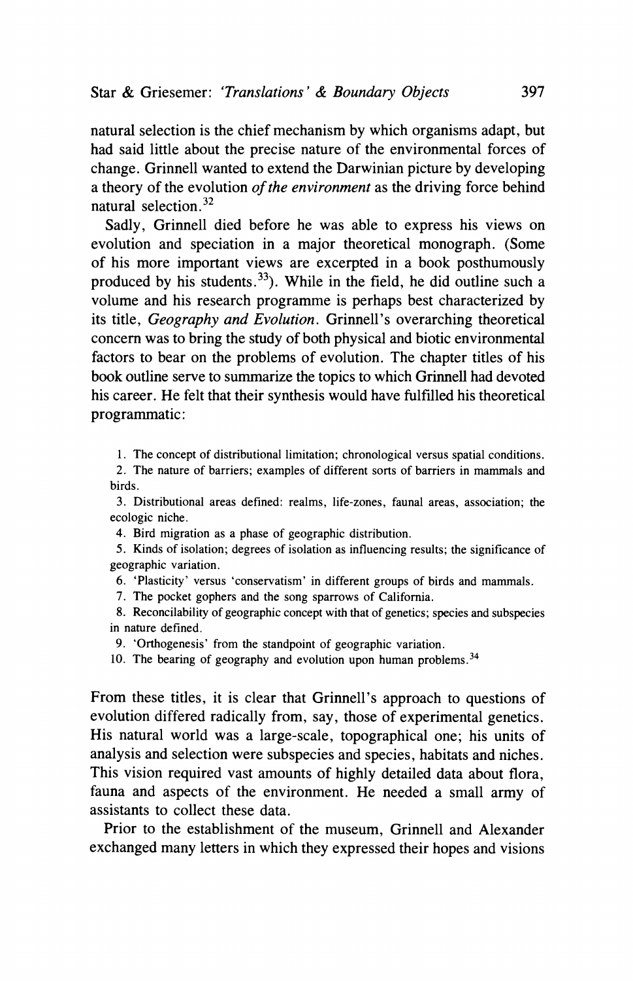**natural selection is the chief mechanism by which organisms adapt, but had said little about the precise nature of the environmental forces of change. Grinnell wanted to extend the Darwinian picture by developing a theory of the evolution of the environment as the driving force behind natural selection.32** 

**Sadly, Grinnell died before he was able to express his views on evolution and speciation in a major theoretical monograph. (Some of his more important views are excerpted in a book posthumously produced by his students.33). While in the field, he did outline such a volume and his research programme is perhaps best characterized by its title, Geography and Evolution. Grinnell's overarching theoretical concern was to bring the study of both physical and biotic environmental factors to bear on the problems of evolution. The chapter titles of his book outline serve to summarize the topics to which Grinnell had devoted his career. He felt that their synthesis would have fulfilled his theoretical programmatic:** 

**1. The concept of distributional limitation; chronological versus spatial conditions.** 

**2. The nature of barriers; examples of different sorts of barriers in mammals and birds.** 

**3. Distributional areas defined: realms, life-zones, faunal areas, association; the ecologic niche.** 

**4. Bird migration as a phase of geographic distribution.** 

**5. Kinds of isolation; degrees of isolation as influencing results; the significance of geographic variation.** 

**6. 'Plasticity' versus 'conservatism' in different groups of birds and mammals.** 

**7. The pocket gophers and the song sparrows of California.** 

**8. Reconcilability of geographic concept with that of genetics; species and subspecies in nature defined.** 

**9. 'Orthogenesis' from the standpoint of geographic variation.** 

**10. The bearing of geography and evolution upon human problems.34** 

**From these titles, it is clear that Grinnell's approach to questions of evolution differed radically from, say, those of experimental genetics. His natural world was a large-scale, topographical one; his units of analysis and selection were subspecies and species, habitats and niches. This vision required vast amounts of highly detailed data about flora, fauna and aspects of the environment. He needed a small army of assistants to collect these data.** 

**Prior to the establishment of the museum, Grinnell and Alexander exchanged many letters in which they expressed their hopes and visions**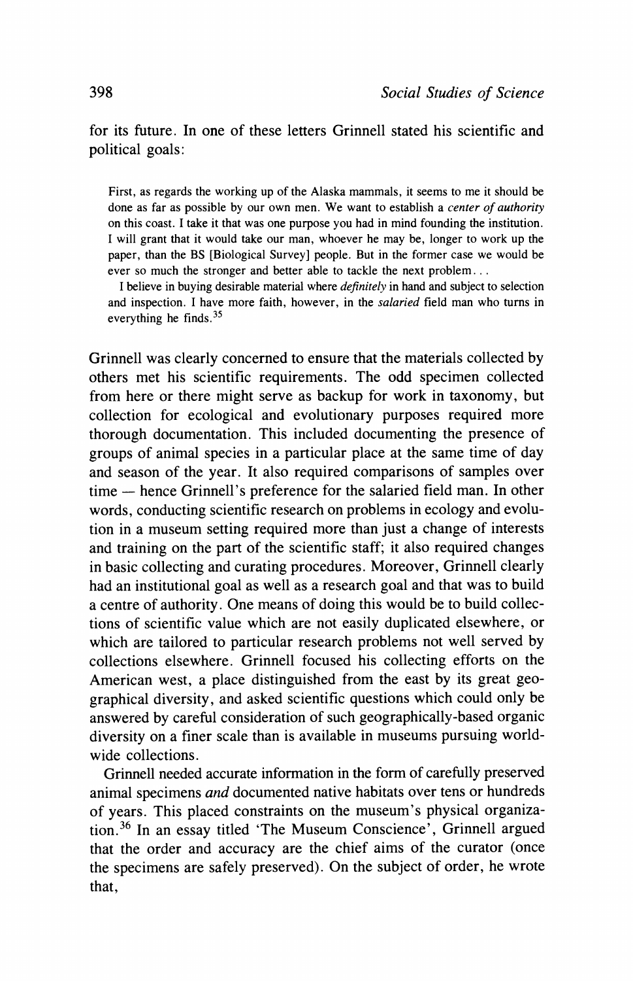**for its future. In one of these letters Grinnell stated his scientific and political goals:** 

**First, as regards the working up of the Alaska mammals, it seems to me it should be done as far as possible by our own men. We want to establish a center of authority on this coast. I take it that was one purpose you had in mind founding the institution. I will grant that it would take our man, whoever he may be, longer to work up the paper, than the BS [Biological Survey] people. But in the former case we would be ever so much the stronger and better able to tackle the next problem ...** 

**I believe in buying desirable material where definitely in hand and subject to selection and inspection. I have more faith, however, in the salaried field man who turns in everything he finds.35** 

**Grinnell was clearly concerned to ensure that the materials collected by others met his scientific requirements. The odd specimen collected from here or there might serve as backup for work in taxonomy, but collection for ecological and evolutionary purposes required more thorough documentation. This included documenting the presence of groups of animal species in a particular place at the same time of day and season of the year. It also required comparisons of samples over time - hence Grinnell's preference for the salaried field man. In other words, conducting scientific research on problems in ecology and evolution in a museum setting required more than just a change of interests and training on the part of the scientific staff; it also required changes in basic collecting and curating procedures. Moreover, Grinnell clearly had an institutional goal as well as a research goal and that was to build a centre of authority. One means of doing this would be to build collections of scientific value which are not easily duplicated elsewhere, or which are tailored to particular research problems not well served by collections elsewhere. Grinnell focused his collecting efforts on the American west, a place distinguished from the east by its great geographical diversity, and asked scientific questions which could only be answered by careful consideration of such geographically-based organic diversity on a finer scale than is available in museums pursuing worldwide collections.** 

**Grinnell needed accurate information in the form of carefully preserved animal specimens and documented native habitats over tens or hundreds of years. This placed constraints on the museum's physical organization.36 In an essay titled 'The Museum Conscience', Grinnell argued that the order and accuracy are the chief aims of the curator (once the specimens are safely preserved). On the subject of order, he wrote that,**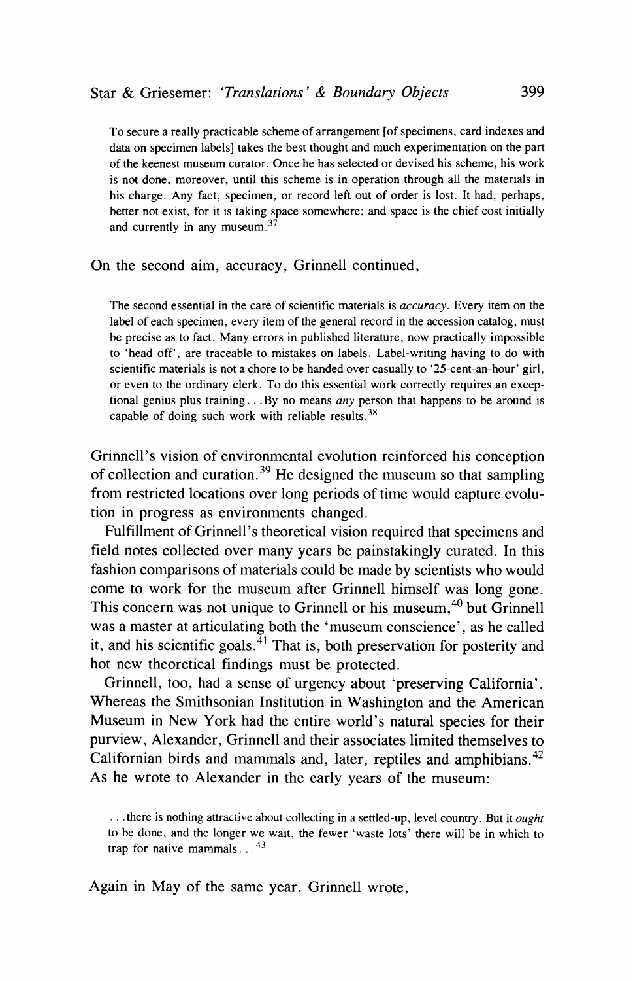**To secure a really practicable scheme of arrangement [of specimens, card indexes and data on specimen labels] takes the best thought and much experimentation on the part of the keenest museum curator. Once he has selected or devised his scheme, his work is not done, moreover, until this scheme is in operation through all the materials in his charge. Any fact, specimen, or record left out of order is lost. It had, perhaps, better not exist, for it is taking space somewhere; and space is the chief cost initially and currently in any museum.37** 

**On the second aim, accuracy, Grinnell continued,** 

**The second essential in the care of scientific materials is accuracy. Every item on the label of each specimen, every item of the general record in the accession catalog, must be precise as to fact. Many errors in published literature, now practically impossible to 'head off', are traceable to mistakes on labels. Label-writing having to do with scientific materials is not a chore to be handed over casually to '25-cent-an-hour' girl, or even to the ordinary clerk. To do this essential work correctly requires an exceptional genius plus training... By no means any person that happens to be around is capable of doing such work with reliable results.38** 

**Grinnell's vision of environmental evolution reinforced his conception of collection and curation.39 He designed the museum so that sampling from restricted locations over long periods of time would capture evolution in progress as environments changed.** 

**Fulfillment of Grinnell's theoretical vision required that specimens and field notes collected over many years be painstakingly curated. In this fashion comparisons of materials could be made by scientists who would come to work for the museum after Grinnell himself was long gone.**  This concern was not unique to Grinnell or his museum,<sup>40</sup> but Grinnell **was a master at articulating both the 'museum conscience', as he called**  it, and his scientific goals. $41$  That is, both preservation for posterity and **hot new theoretical findings must be protected.** 

**Grinnell, too, had a sense of urgency about 'preserving California'. Whereas the Smithsonian Institution in Washington and the American Museum in New York had the entire world's natural species for their purview, Alexander, Grinnell and their associates limited themselves to Californian birds and mammals and, later, reptiles and amphibians.42 As he wrote to Alexander in the early years of the museum:** 

**Again in May of the same year, Grinnell wrote,** 

**<sup>..</sup> there is nothing attractive about collecting in a settled-up, level country. But it ought to be done, and the longer we wait, the fewer 'waste lots' there will be in which to trap for native mammals. ..43**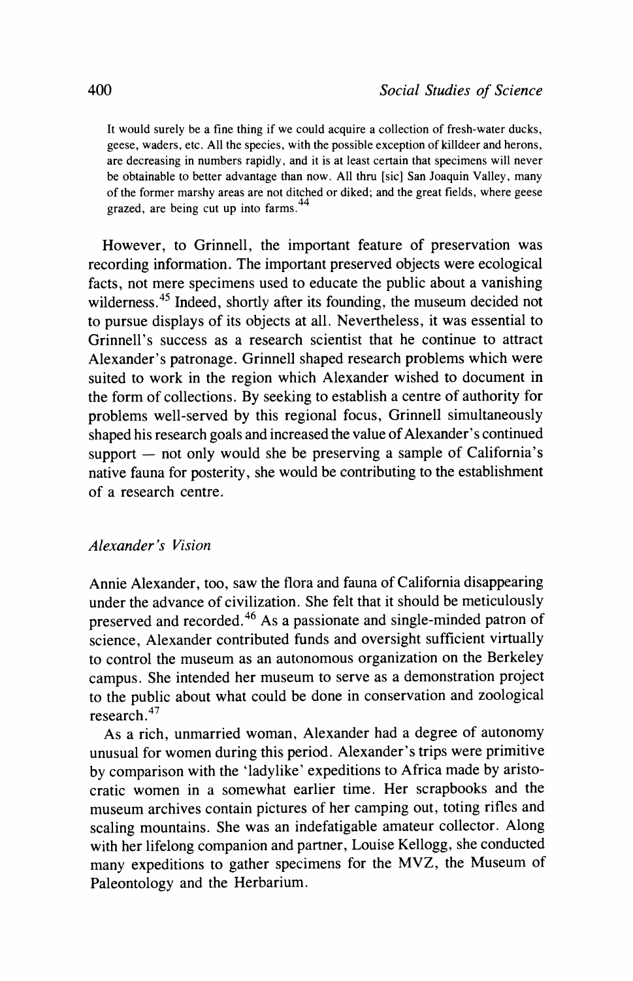**It would surely be a fine thing if we could acquire a collection of fresh-water ducks, geese, waders, etc. All the species, with the possible exception of killdeer and herons, are decreasing in numbers rapidly, and it is at least certain that specimens will never be obtainable to better advantage than now. All thru [sic] San Joaquin Valley, many of the former marshy areas are not ditched or diked; and the great fields, where geese grazed, are being cut up into farms.44** 

**However, to Grinnell, the important feature of preservation was recording information. The important preserved objects were ecological facts, not mere specimens used to educate the public about a vanishing wilderness.45 Indeed, shortly after its founding, the museum decided not to pursue displays of its objects at all. Nevertheless, it was essential to Grinnell's success as a research scientist that he continue to attract Alexander's patronage. Grinnell shaped research problems which were suited to work in the region which Alexander wished to document in the form of collections. By seeking to establish a centre of authority for problems well-served by this regional focus, Grinnell simultaneously shaped his research goals and increased the value of Alexander's continued**  support — not only would she be preserving a sample of California's **native fauna for posterity, she would be contributing to the establishment of a research centre.** 

# **Alexander's Vision**

**Annie Alexander, too, saw the flora and fauna of California disappearing under the advance of civilization. She felt that it should be meticulously preserved and recorded.46 As a passionate and single-minded patron of science, Alexander contributed funds and oversight sufficient virtually to control the museum as an autonomous organization on the Berkeley campus. She intended her museum to serve as a demonstration project to the public about what could be done in conservation and zoological research.47** 

**As a rich, unmarried woman, Alexander had a degree of autonomy unusual for women during this period. Alexander's trips were primitive by comparison with the 'ladylike' expeditions to Africa made by aristocratic women in a somewhat earlier time. Her scrapbooks and the museum archives contain pictures of her camping out, toting rifles and scaling mountains. She was an indefatigable amateur collector. Along with her lifelong companion and partner, Louise Kellogg, she conducted many expeditions to gather specimens for the MVZ, the Museum of Paleontology and the Herbarium.**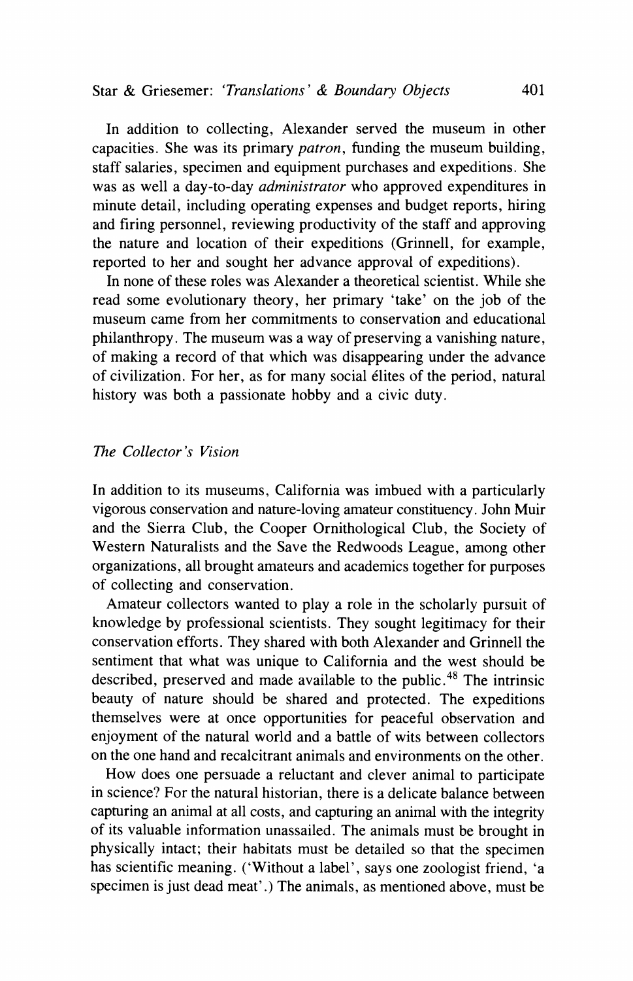**In addition to collecting, Alexander served the museum in other capacities. She was its primary patron, funding the museum building, staff salaries, specimen and equipment purchases and expeditions. She was as well a day-to-day administrator who approved expenditures in minute detail, including operating expenses and budget reports, hiring and firing personnel, reviewing productivity of the staff and approving the nature and location of their expeditions (Grinnell, for example, reported to her and sought her advance approval of expeditions).** 

**In none of these roles was Alexander a theoretical scientist. While she read some evolutionary theory, her primary 'take' on the job of the museum came from her commitments to conservation and educational philanthropy. The museum was a way of preserving a vanishing nature, of making a record of that which was disappearing under the advance of civilization. For her, as for many social elites of the period, natural history was both a passionate hobby and a civic duty.** 

#### **The Collector's Vision**

**In addition to its museums, California was imbued with a particularly vigorous conservation and nature-loving amateur constituency. John Muir and the Sierra Club, the Cooper Ornithological Club, the Society of Western Naturalists and the Save the Redwoods League, among other organizations, all brought amateurs and academics together for purposes of collecting and conservation.** 

**Amateur collectors wanted to play a role in the scholarly pursuit of knowledge by professional scientists. They sought legitimacy for their conservation efforts. They shared with both Alexander and Grinnell the sentiment that what was unique to California and the west should be described, preserved and made available to the public.48 The intrinsic beauty of nature should be shared and protected. The expeditions themselves were at once opportunities for peaceful observation and enjoyment of the natural world and a battle of wits between collectors on the one hand and recalcitrant animals and environments on the other.** 

**How does one persuade a reluctant and clever animal to participate in science? For the natural historian, there is a delicate balance between capturing an animal at all costs, and capturing an animal with the integrity of its valuable information unassailed. The animals must be brought in physically intact; their habitats must be detailed so that the specimen has scientific meaning. ('Without a label', says one zoologist friend, 'a specimen is just dead meat'.) The animals, as mentioned above, must be**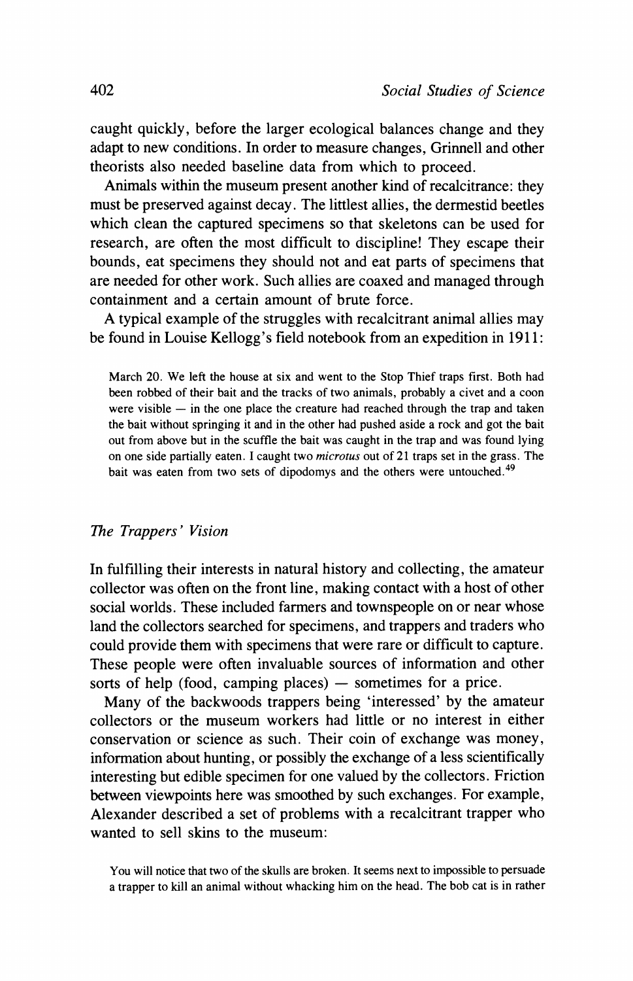**caught quickly, before the larger ecological balances change and they adapt to new conditions. In order to measure changes, Grinnell and other theorists also needed baseline data from which to proceed.** 

**Animals within the museum present another kind of recalcitrance: they must be preserved against decay. The littlest allies, the dermestid beetles which clean the captured specimens so that skeletons can be used for research, are often the most difficult to discipline! They escape their bounds, eat specimens they should not and eat parts of specimens that are needed for other work. Such allies are coaxed and managed through containment and a certain amount of brute force.** 

**A typical example of the struggles with recalcitrant animal allies may be found in Louise Kellogg's field notebook from an expedition in 1911:** 

**March 20. We left the house at six and went to the Stop Thief traps first. Both had been robbed of their bait and the tracks of two animals, probably a civet and a coon**  were visible - in the one place the creature had reached through the trap and taken **the bait without springing it and in the other had pushed aside a rock and got the bait out from above but in the scuffle the bait was caught in the trap and was found lying on one side partially eaten. I caught two microtus out of 21 traps set in the grass. The bait was eaten from two sets of dipodomys and the others were untouched.49** 

#### **The Trappers' Vision**

**In fulfilling their interests in natural history and collecting, the amateur collector was often on the front line, making contact with a host of other social worlds. These included farmers and townspeople on or near whose land the collectors searched for specimens, and trappers and traders who could provide them with specimens that were rare or difficult to capture. These people were often invaluable sources of information and other sorts of help (food, camping places) - sometimes for a price.** 

**Many of the backwoods trappers being 'interessed' by the amateur collectors or the museum workers had little or no interest in either conservation or science as such. Their coin of exchange was money, information about hunting, or possibly the exchange of a less scientifically interesting but edible specimen for one valued by the collectors. Friction between viewpoints here was smoothed by such exchanges. For example, Alexander described a set of problems with a recalcitrant trapper who wanted to sell skins to the museum:** 

**You will notice that two of the skulls are broken. It seems next to impossible to persuade a trapper to kill an animal without whacking him on the head. The bob cat is in rather**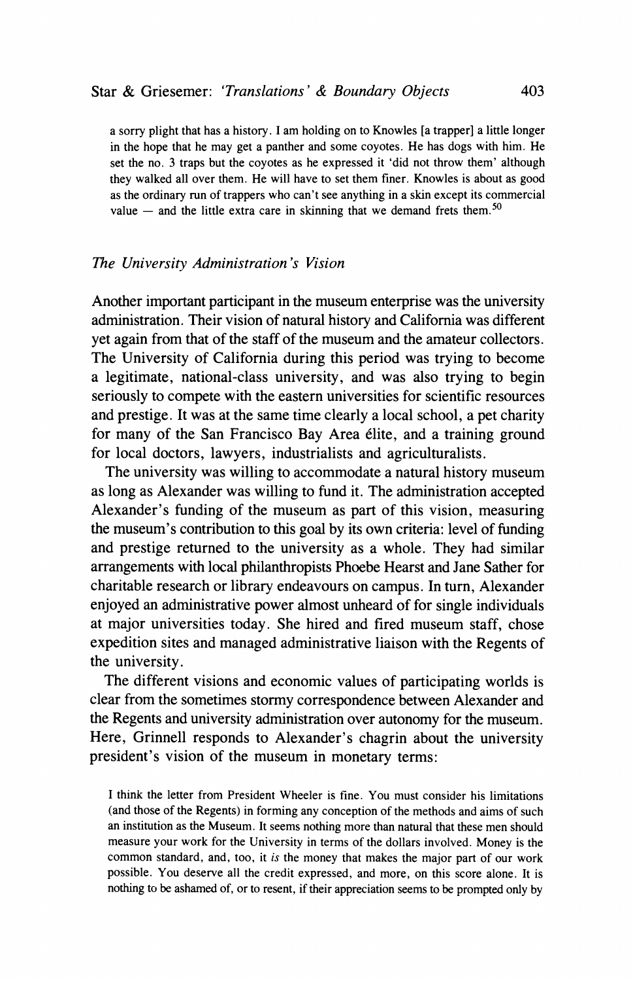**a sorry plight that has a history. I am holding on to Knowles [a trapper] a little longer in the hope that he may get a panther and some coyotes. He has dogs with him. He set the no. 3 traps but the coyotes as he expressed it 'did not throw them' although they walked all over them. He will have to set them finer. Knowles is about as good as the ordinary run of trappers who can't see anything in a skin except its commercial**  value - and the little extra care in skinning that we demand frets them.<sup>50</sup>

#### **The University Administration's Vision**

**Another important participant in the museum enterprise was the university administration. Their vision of natural history and California was different yet again from that of the staff of the museum and the amateur collectors. The University of California during this period was trying to become a legitimate, national-class university, and was also trying to begin seriously to compete with the eastern universities for scientific resources and prestige. It was at the same time clearly a local school, a pet charity for many of the San Francisco Bay Area elite, and a training ground for local doctors, lawyers, industrialists and agriculturalists.** 

**The university was willing to accommodate a natural history museum as long as Alexander was willing to fund it. The administration accepted Alexander's funding of the museum as part of this vision, measuring the museum's contribution to this goal by its own criteria: level of funding and prestige returned to the university as a whole. They had similar arrangements with local philanthropists Phoebe Hearst and Jane Sather for charitable research or library endeavours on campus. In turn, Alexander enjoyed an administrative power almost unheard of for single individuals at major universities today. She hired and fired museum staff, chose expedition sites and managed administrative liaison with the Regents of the university.** 

**The different visions and economic values of participating worlds is clear from the sometimes stormy correspondence between Alexander and the Regents and university administration over autonomy for the museum. Here, Grinnell responds to Alexander's chagrin about the university president's vision of the museum in monetary terms:** 

**I think the letter from President Wheeler is fine. You must consider his limitations (and those of the Regents) in forming any conception of the methods and aims of such an institution as the Museum. It seems nothing more than natural that these men should measure your work for the University in terms of the dollars involved. Money is the common standard, and, too, it is the money that makes the major part of our work possible. You deserve all the credit expressed, and more, on this score alone. It is nothing to be ashamed of, or to resent, if their appreciation seems to be prompted only by**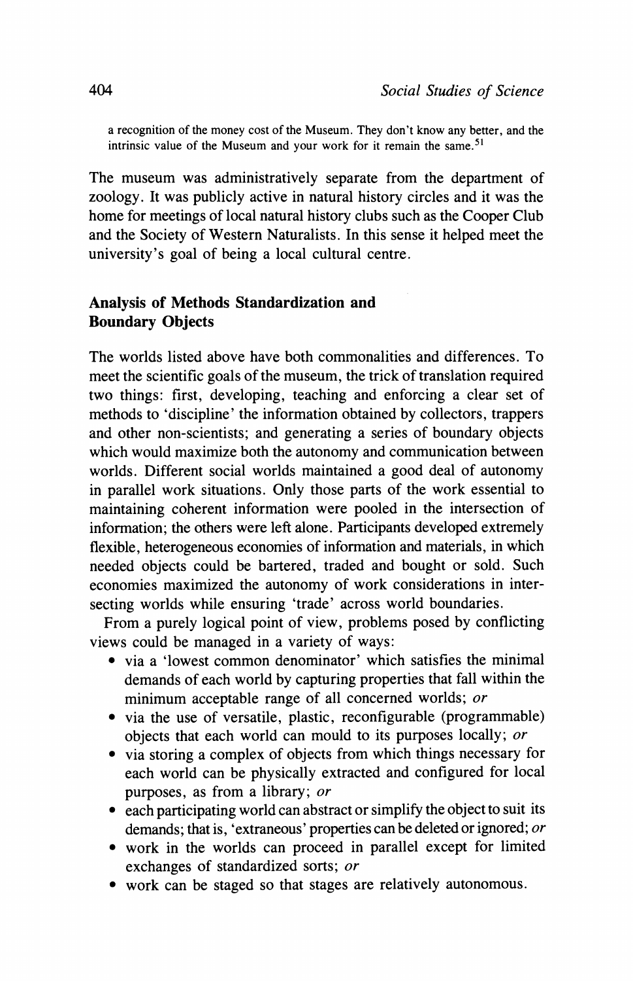**a recognition of the money cost of the Museum. They don't know any better, and the intrinsic value of the Museum and your work for it remain the same.51** 

**The museum was administratively separate from the department of zoology. It was publicly active in natural history circles and it was the home for meetings of local natural history clubs such as the Cooper Club and the Society of Western Naturalists. In this sense it helped meet the university's goal of being a local cultural centre.** 

# **Analysis of Methods Standardization and Boundary Objects**

**The worlds listed above have both commonalities and differences. To meet the scientific goals of the museum, the trick of translation required two things: first, developing, teaching and enforcing a clear set of methods to 'discipline' the information obtained by collectors, trappers and other non-scientists; and generating a series of boundary objects which would maximize both the autonomy and communication between worlds. Different social worlds maintained a good deal of autonomy in parallel work situations. Only those parts of the work essential to maintaining coherent information were pooled in the intersection of information; the others were left alone. Participants developed extremely flexible, heterogeneous economies of information and materials, in which needed objects could be bartered, traded and bought or sold. Such economies maximized the autonomy of work considerations in intersecting worlds while ensuring 'trade' across world boundaries.** 

**From a purely logical point of view, problems posed by conflicting views could be managed in a variety of ways:** 

- **\* via a 'lowest common denominator' which satisfies the minimal demands of each world by capturing properties that fall within the minimum acceptable range of all concerned worlds; or**
- **\* via the use of versatile, plastic, reconfigurable (programmable) objects that each world can mould to its purposes locally; or**
- **\* via storing a complex of objects from which things necessary for each world can be physically extracted and configured for local purposes, as from a library; or**
- **\* each participating world can abstract or simplify the object to suit its demands; that is, 'extraneous' properties can be deleted or ignored; or**
- **\* work in the worlds can proceed in parallel except for limited exchanges of standardized sorts; or**
- **\* work can be staged so that stages are relatively autonomous.**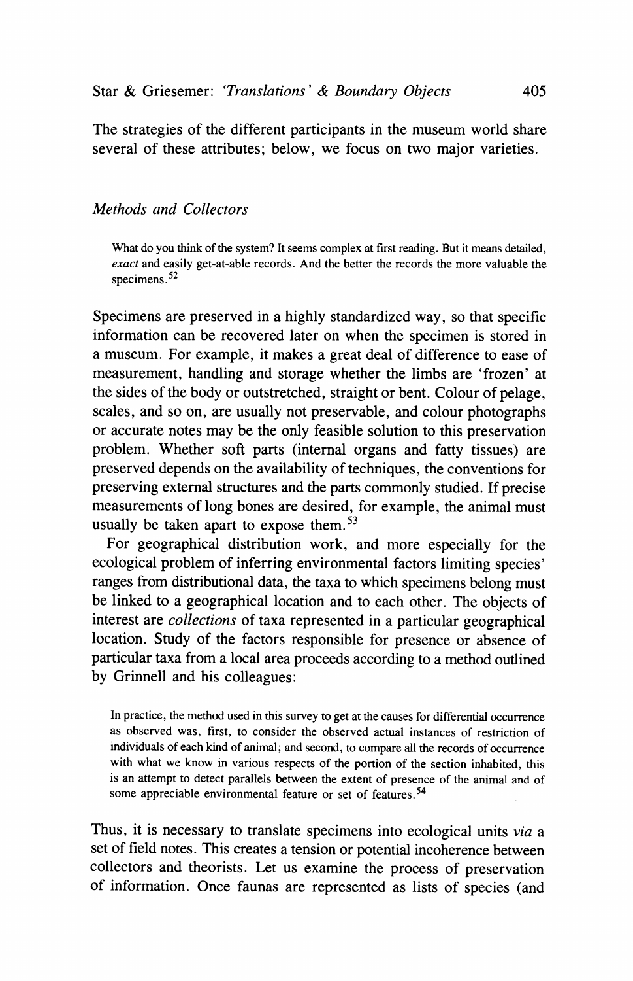**The strategies of the different participants in the museum world share several of these attributes; below, we focus on two major varieties.** 

#### **Methods and Collectors**

**What do you think of the system? It seems complex at first reading. But it means detailed, exact and easily get-at-able records. And the better the records the more valuable the specimens.52** 

**Specimens are preserved in a highly standardized way, so that specific information can be recovered later on when the specimen is stored in a museum. For example, it makes a great deal of difference to ease of measurement, handling and storage whether the limbs are 'frozen' at the sides of the body or outstretched, straight or bent. Colour of pelage, scales, and so on, are usually not preservable, and colour photographs or accurate notes may be the only feasible solution to this preservation problem. Whether soft parts (internal organs and fatty tissues) are preserved depends on the availability of techniques, the conventions for preserving external structures and the parts commonly studied. If precise measurements of long bones are desired, for example, the animal must usually be taken apart to expose them.53** 

**For geographical distribution work, and more especially for the ecological problem of inferring environmental factors limiting species' ranges from distributional data, the taxa to which specimens belong must be linked to a geographical location and to each other. The objects of interest are collections of taxa represented in a particular geographical location. Study of the factors responsible for presence or absence of particular taxa from a local area proceeds according to a method outlined by Grinnell and his colleagues:** 

**In practice, the method used in this survey to get at the causes for differential occurrence as observed was, first, to consider the observed actual instances of restriction of individuals of each kind of animal; and second, to compare all the records of occurrence with what we know in various respects of the portion of the section inhabited, this is an attempt to detect parallels between the extent of presence of the animal and of some appreciable environmental feature or set of features.54** 

**Thus, it is necessary to translate specimens into ecological units via a set of field notes. This creates a tension or potential incoherence between collectors and theorists. Let us examine the process of preservation of information. Once faunas are represented as lists of species (and**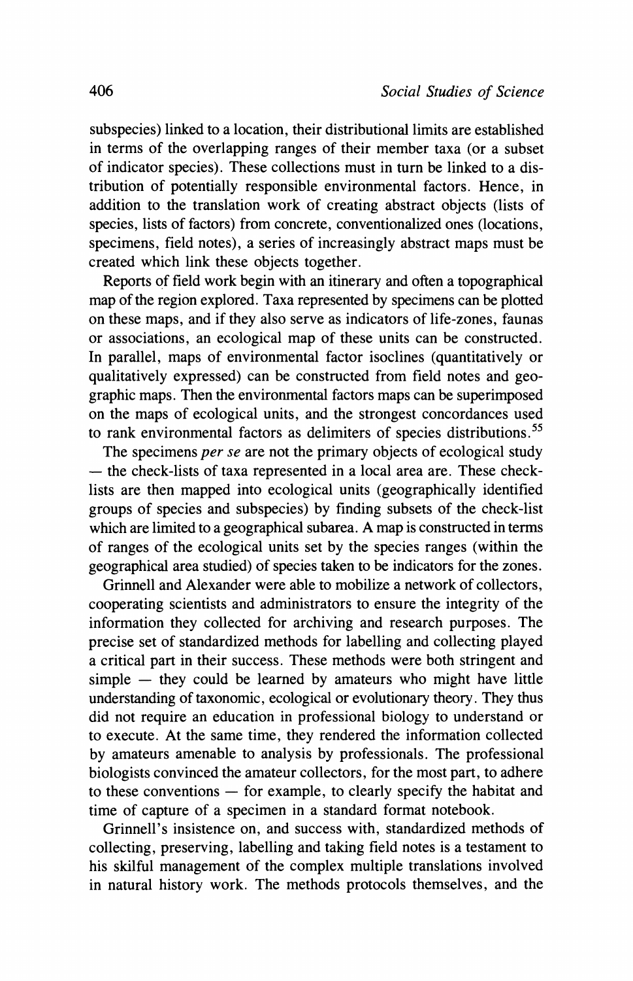subspecies) linked to a location, their distributional limits are established **in terms of the overlapping ranges of their member taxa (or a subset of indicator species). These collections must in turn be linked to a distribution of potentially responsible environmental factors. Hence, in addition to the translation work of creating abstract objects (lists of species, lists of factors) from concrete, conventionalized ones (locations, specimens, field notes), a series of increasingly abstract maps must be created which link these objects together.** 

**Reports of field work begin with an itinerary and often a topographical map of the region explored. Taxa represented by specimens can be plotted on these maps, and if they also serve as indicators of life-zones, faunas or associations, an ecological map of these units can be constructed. In parallel, maps of environmental factor isoclines (quantitatively or qualitatively expressed) can be constructed from field notes and geographic maps. Then the environmental factors maps can be superimposed on the maps of ecological units, and the strongest concordances used to rank environmental factors as delimiters of species distributions.55** 

**The specimens per se are not the primary objects of ecological study - the check-lists of taxa represented in a local area are. These checklists are then mapped into ecological units (geographically identified groups of species and subspecies) by finding subsets of the check-list which are limited to a geographical subarea. A map is constructed in terms of ranges of the ecological units set by the species ranges (within the geographical area studied) of species taken to be indicators for the zones.** 

**Grinnell and Alexander were able to mobilize a network of collectors, cooperating scientists and administrators to ensure the integrity of the information they collected for archiving and research purposes. The precise set of standardized methods for labelling and collecting played a critical part in their success. These methods were both stringent and simple - they could be learned by amateurs who might have little understanding of taxonomic, ecological or evolutionary theory. They thus did not require an education in professional biology to understand or to execute. At the same time, they rendered the information collected by amateurs amenable to analysis by professionals. The professional biologists convinced the amateur collectors, for the most part, to adhere**  to these conventions — for example, to clearly specify the habitat and **time of capture of a specimen in a standard format notebook.** 

**Grinnell's insistence on, and success with, standardized methods of collecting, preserving, labelling and taking field notes is a testament to his skilful management of the complex multiple translations involved in natural history work. The methods protocols themselves, and the**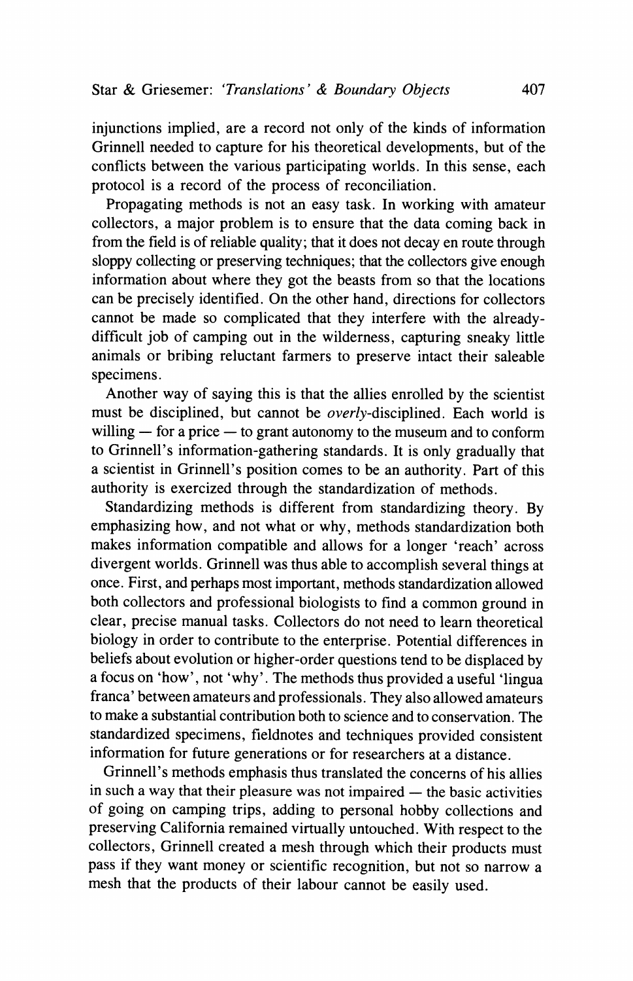**injunctions implied, are a record not only of the kinds of information Grinnell needed to capture for his theoretical developments, but of the conflicts between the various participating worlds. In this sense, each protocol is a record of the process of reconciliation.** 

**Propagating methods is not an easy task. In working with amateur collectors, a major problem is to ensure that the data coming back in from the field is of reliable quality; that it does not decay en route through sloppy collecting or preserving techniques; that the collectors give enough information about where they got the beasts from so that the locations can be precisely identified. On the other hand, directions for collectors cannot be made so complicated that they interfere with the alreadydifficult job of camping out in the wilderness, capturing sneaky little animals or bribing reluctant farmers to preserve intact their saleable specimens.** 

**Another way of saying this is that the allies enrolled by the scientist must be disciplined, but cannot be overly-disciplined. Each world is**  willing — for a price — to grant autonomy to the museum and to conform **to Grinnell's information-gathering standards. It is only gradually that a scientist in Grinnell's position comes to be an authority. Part of this authority is exercized through the standardization of methods.** 

**Standardizing methods is different from standardizing theory. By emphasizing how, and not what or why, methods standardization both makes information compatible and allows for a longer 'reach' across divergent worlds. Grinnell was thus able to accomplish several things at once. First, and perhaps most important, methods standardization allowed both collectors and professional biologists to find a common ground in clear, precise manual tasks. Collectors do not need to learn theoretical biology in order to contribute to the enterprise. Potential differences in beliefs about evolution or higher-order questions tend to be displaced by a focus on 'how', not 'why'. The methods thus provided a useful 'lingua franca' between amateurs and professionals. They also allowed amateurs to make a substantial contribution both to science and to conservation. The standardized specimens, fieldnotes and techniques provided consistent information for future generations or for researchers at a distance.** 

**Grinnell's methods emphasis thus translated the concerns of his allies**  in such a way that their pleasure was not impaired — the basic activities **of going on camping trips, adding to personal hobby collections and preserving California remained virtually untouched. With respect to the collectors, Grinnell created a mesh through which their products must pass if they want money or scientific recognition, but not so narrow a mesh that the products of their labour cannot be easily used.**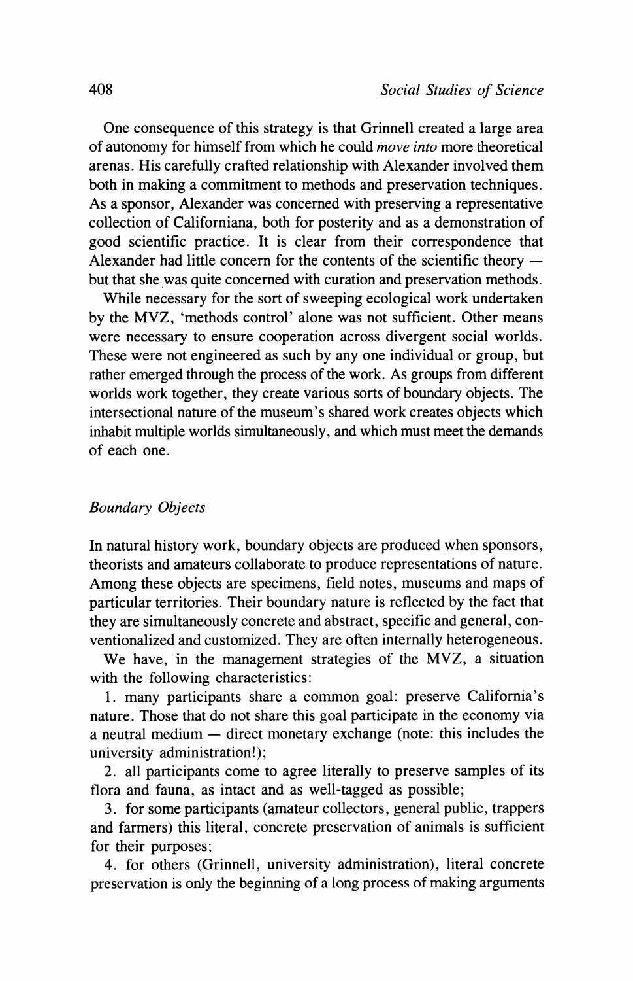**One consequence of this strategy is that Grinnell created a large area of autonomy for himself from which he could move into more theoretical arenas. His carefully crafted relationship with Alexander involved them both in making a commitment to methods and preservation techniques. As a sponsor, Alexander was concerned with preserving a representative collection of Californiana, both for posterity and as a demonstration of good scientific practice. It is clear from their correspondence that**  Alexander had little concern for the contents of the scientific theory **but that she was quite concerned with curation and preservation methods.** 

**While necessary for the sort of sweeping ecological work undertaken by the MVZ, 'methods control' alone was not sufficient. Other means were necessary to ensure cooperation across divergent social worlds. These were not engineered as such by any one individual or group, but rather emerged through the process of the work. As groups from different worlds work together, they create various sorts of boundary objects. The intersectional nature of the museum's shared work creates objects which inhabit multiple worlds simultaneously, and which must meet the demands of each one.** 

#### **Boundary Objects**

**In natural history work, boundary objects are produced when sponsors, theorists and amateurs collaborate to produce representations of nature. Among these objects are specimens, field notes, museums and maps of particular territories. Their boundary nature is reflected by the fact that they are simultaneously concrete and abstract, specific and general, conventionalized and customized. They are often internally heterogeneous.** 

**We have, in the management strategies of the MVZ, a situation with the following characteristics:** 

**1. many participants share a common goal: preserve California's nature. Those that do not share this goal participate in the economy via a neutral medium - direct monetary exchange (note: this includes the university administration!);** 

**2. all participants come to agree literally to preserve samples of its flora and fauna, as intact and as well-tagged as possible;** 

**3. for some participants (amateur collectors, general public, trappers and farmers) this literal, concrete preservation of animals is sufficient for their purposes;** 

**4. for others (Grinnell, university administration), literal concrete preservation is only the beginning of a long process of making arguments**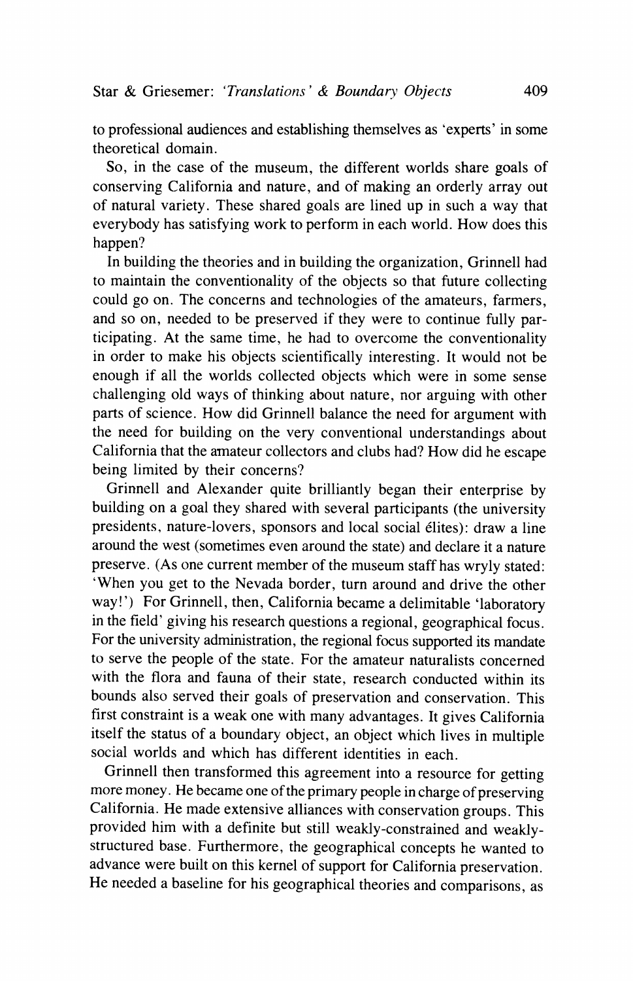**to professional audiences and establishing themselves as 'experts' in some theoretical domain.** 

**So, in the case of the museum, the different worlds share goals of conserving California and nature, and of making an orderly array out of natural variety. These shared goals are lined up in such a way that everybody has satisfying work to perform in each world. How does this happen?** 

**In building the theories and in building the organization, Grinnell had to maintain the conventionality of the objects so that future collecting could go on. The concerns and technologies of the amateurs, farmers, and so on, needed to be preserved if they were to continue fully participating. At the same time, he had to overcome the conventionality in order to make his objects scientifically interesting. It would not be enough if all the worlds collected objects which were in some sense challenging old ways of thinking about nature, nor arguing with other parts of science. How did Grinnell balance the need for argument with the need for building on the very conventional understandings about California that the amateur collectors and clubs had? How did he escape being limited by their concerns?** 

**Grinnell and Alexander quite brilliantly began their enterprise by building on a goal they shared with several participants (the university presidents, nature-lovers, sponsors and local social elites): draw a line around the west (sometimes even around the state) and declare it a nature preserve. (As one current member of the museum staff has wryly stated: 'When you get to the Nevada border, turn around and drive the other way!') For Grinnell, then, California became a delimitable 'laboratory in the field' giving his research questions a regional, geographical focus. For the university administration, the regional focus supported its mandate to serve the people of the state. For the amateur naturalists concerned with the flora and fauna of their state, research conducted within its bounds also served their goals of preservation and conservation. This first constraint is a weak one with many advantages. It gives California itself the status of a boundary object, an object which lives in multiple social worlds and which has different identities in each.** 

**Grinnell then transformed this agreement into a resource for getting more money. He became one of the primary people in charge of preserving California. He made extensive alliances with conservation groups. This provided him with a definite but still weakly-constrained and weaklystructured base. Furthermore, the geographical concepts he wanted to advance were built on this kernel of support for California preservation. He needed a baseline for his geographical theories and comparisons, as**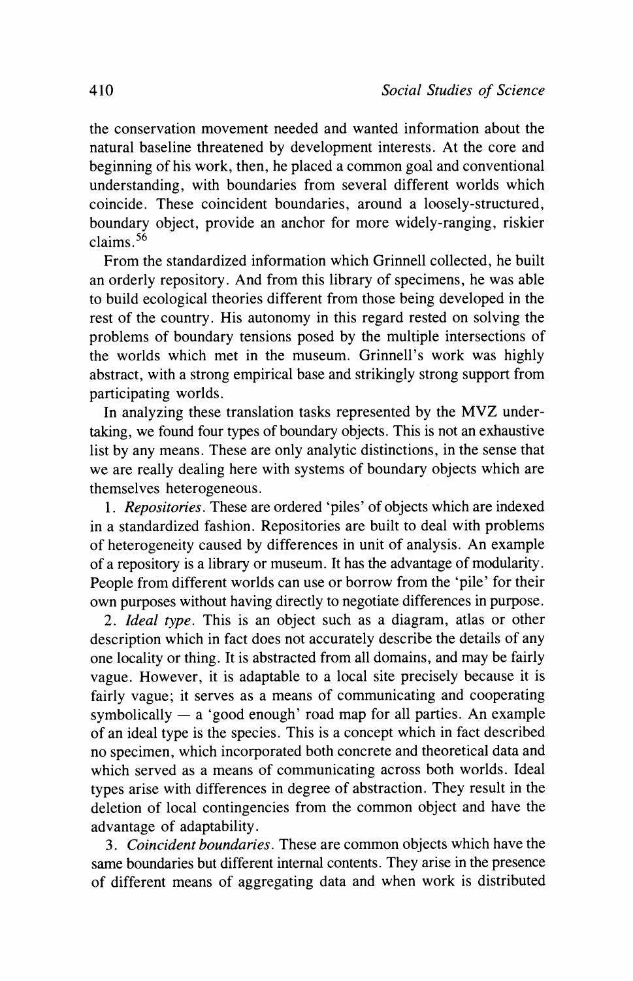**the conservation movement needed and wanted information about the natural baseline threatened by development interests. At the core and beginning of his work, then, he placed a common goal and conventional understanding, with boundaries from several different worlds which coincide. These coincident boundaries, around a loosely-structured, boundary object, provide an anchor for more widely-ranging, riskier claims.56** 

**From the standardized information which Grinnell collected, he built an orderly repository. And from this library of specimens, he was able to build ecological theories different from those being developed in the rest of the country. His autonomy in this regard rested on solving the problems of boundary tensions posed by the multiple intersections of the worlds which met in the museum. Grinnell's work was highly abstract, with a strong empirical base and strikingly strong support from participating worlds.** 

**In analyzing these translation tasks represented by the MVZ undertaking, we found four types of boundary objects. This is not an exhaustive list by any means. These are only analytic distinctions, in the sense that we are really dealing here with systems of boundary objects which are themselves heterogeneous.** 

**1. Repositories. These are ordered 'piles' of objects which are indexed in a standardized fashion. Repositories are built to deal with problems of heterogeneity caused by differences in unit of analysis. An example of a repository is a library or museum. It has the advantage of modularity. People from different worlds can use or borrow from the 'pile' for their own purposes without having directly to negotiate differences in purpose.** 

**2. Ideal type. This is an object such as a diagram, atlas or other description which in fact does not accurately describe the details of any one locality or thing. It is abstracted from all domains, and may be fairly vague. However, it is adaptable to a local site precisely because it is fairly vague; it serves as a means of communicating and cooperating symbolically - a 'good enough' road map for all parties. An example of an ideal type is the species. This is a concept which in fact described no specimen, which incorporated both concrete and theoretical data and which served as a means of communicating across both worlds. Ideal types arise with differences in degree of abstraction. They result in the deletion of local contingencies from the common object and have the advantage of adaptability.** 

**3. Coincident boundaries. These are common objects which have the same boundaries but different internal contents. They arise in the presence of different means of aggregating data and when work is distributed**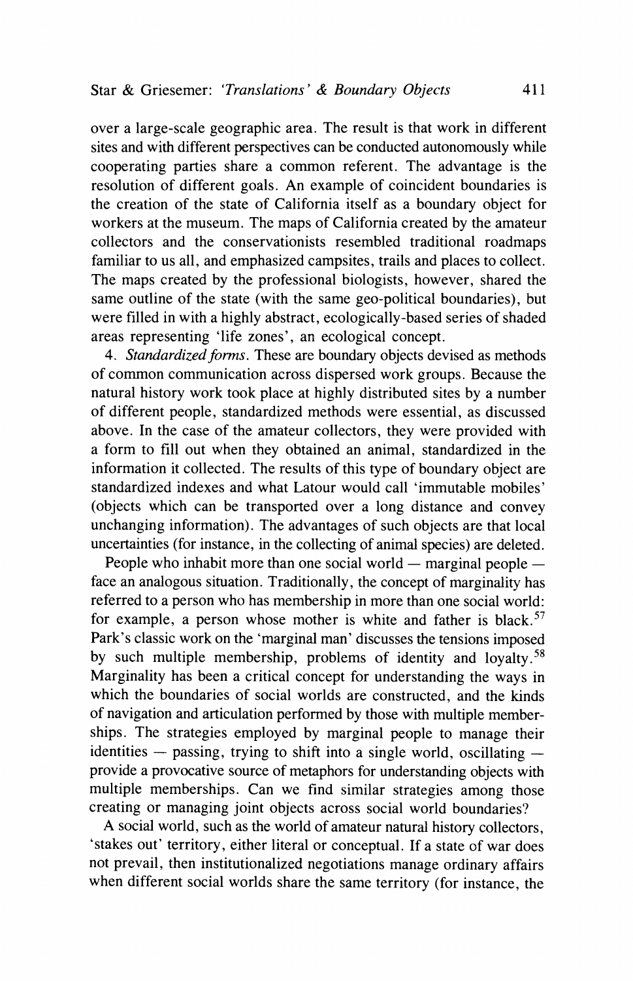**over a large-scale geographic area. The result is that work in different sites and with different perspectives can be conducted autonomously while cooperating parties share a common referent. The advantage is the resolution of different goals. An example of coincident boundaries is the creation of the state of California itself as a boundary object for workers at the museum. The maps of California created by the amateur collectors and the conservationists resembled traditional roadmaps familiar to us all, and emphasized campsites, trails and places to collect. The maps created by the professional biologists, however, shared the same outline of the state (with the same geo-political boundaries), but were filled in with a highly abstract, ecologically-based series of shaded areas representing 'life zones', an ecological concept.** 

**4. Standardized forms. These are boundary objects devised as methods of common communication across dispersed work groups. Because the natural history work took place at highly distributed sites by a number of different people, standardized methods were essential, as discussed above. In the case of the amateur collectors, they were provided with a form to fill out when they obtained an animal, standardized in the information it collected. The results of this type of boundary object are standardized indexes and what Latour would call 'immutable mobiles' (objects which can be transported over a long distance and convey unchanging information). The advantages of such objects are that local uncertainties (for instance, in the collecting of animal species) are deleted.** 

People who inhabit more than one social world — marginal people **face an analogous situation. Traditionally, the concept of marginality has referred to a person who has membership in more than one social world: for example, a person whose mother is white and father is black.57 Park's classic work on the 'marginal man' discusses the tensions imposed by such multiple membership, problems of identity and loyalty.58 Marginality has been a critical concept for understanding the ways in which the boundaries of social worlds are constructed, and the kinds of navigation and articulation performed by those with multiple memberships. The strategies employed by marginal people to manage their identities — passing, trying to shift into a single world, oscillating provide a provocative source of metaphors for understanding objects with multiple memberships. Can we find similar strategies among those creating or managing joint objects across social world boundaries?** 

**A social world, such as the world of amateur natural history collectors, 'stakes out' territory, either literal or conceptual. If a state of war does not prevail, then institutionalized negotiations manage ordinary affairs when different social worlds share the same territory (for instance, the**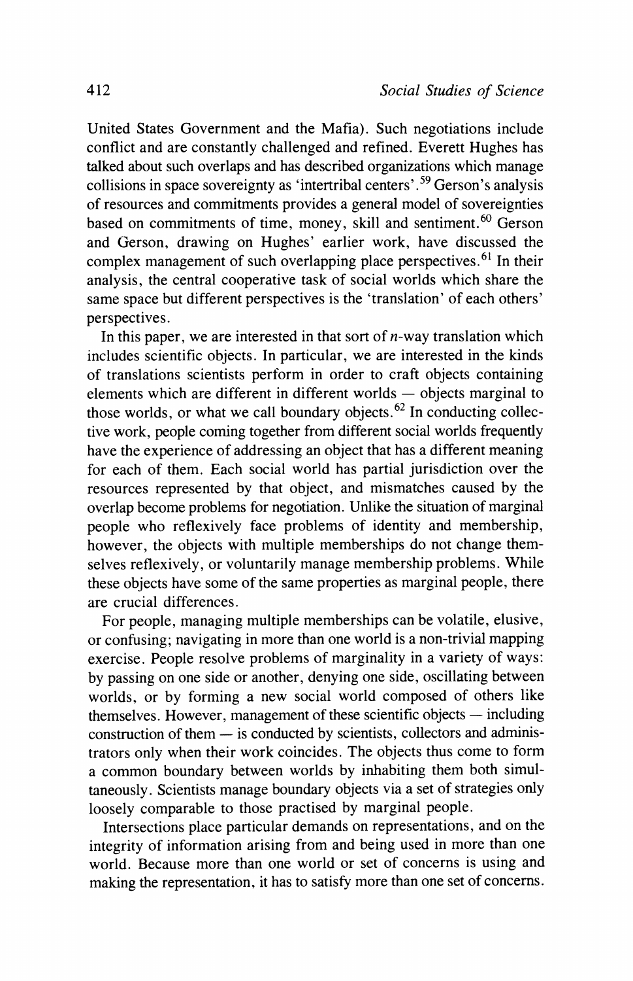**United States Government and the Mafia). Such negotiations include conflict and are constantly challenged and refined. Everett Hughes has talked about such overlaps and has described organizations which manage collisions in space sovereignty as 'intertribal centers'.59 Gerson's analysis of resources and commitments provides a general model of sovereignties based on commitments of time, money, skill and sentiment.60 Gerson and Gerson, drawing on Hughes' earlier work, have discussed the complex management of such overlapping place perspectives.61 In their analysis, the central cooperative task of social worlds which share the same space but different perspectives is the 'translation' of each others' perspectives.** 

**In this paper, we are interested in that sort of n-way translation which includes scientific objects. In particular, we are interested in the kinds of translations scientists perform in order to craft objects containing**  elements which are different in different worlds — objects marginal to **those worlds, or what we call boundary objects.62 In conducting collective work, people coming together from different social worlds frequently have the experience of addressing an object that has a different meaning for each of them. Each social world has partial jurisdiction over the resources represented by that object, and mismatches caused by the overlap become problems for negotiation. Unlike the situation of marginal people who reflexively face problems of identity and membership, however, the objects with multiple memberships do not change themselves reflexively, or voluntarily manage membership problems. While these objects have some of the same properties as marginal people, there are crucial differences.** 

**For people, managing multiple memberships can be volatile, elusive, or confusing; navigating in more than one world is a non-trivial mapping exercise. People resolve problems of marginality in a variety of ways: by passing on one side or another, denying one side, oscillating between worlds, or by forming a new social world composed of others like**  themselves. However, management of these scientific objects — including construction of them — is conducted by scientists, collectors and adminis**trators only when their work coincides. The objects thus come to form a common boundary between worlds by inhabiting them both simultaneously. Scientists manage boundary objects via a set of strategies only loosely comparable to those practised by marginal people.** 

**Intersections place particular demands on representations, and on the integrity of information arising from and being used in more than one world. Because more than one world or set of concerns is using and making the representation, it has to satisfy more than one set of concerns.**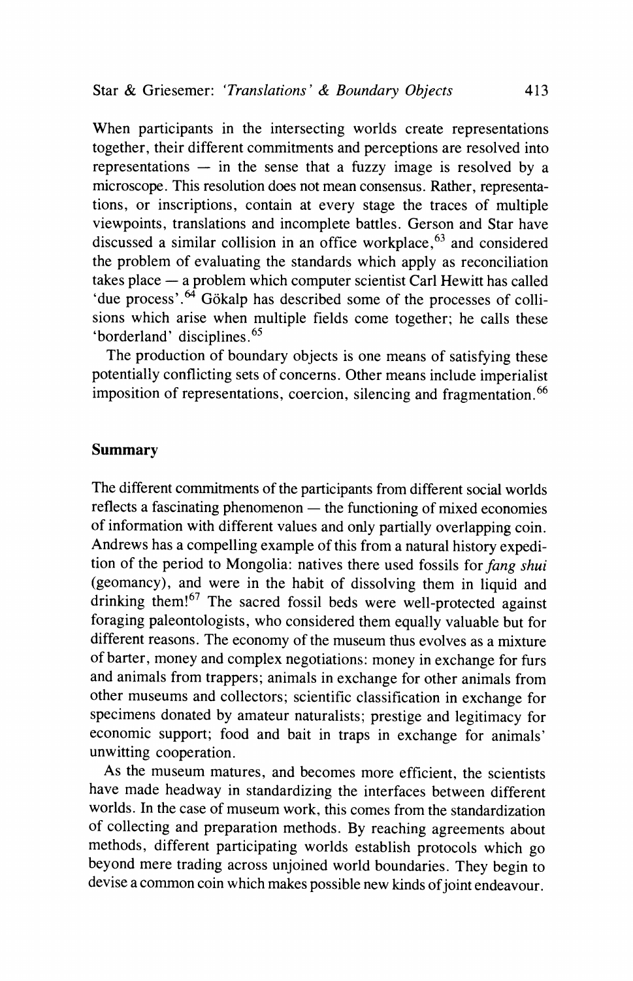**When participants in the intersecting worlds create representations together, their different commitments and perceptions are resolved into**   $r$ epresentations  $-$  in the sense that a fuzzy image is resolved by a **microscope. This resolution does not mean consensus. Rather, representations, or inscriptions, contain at every stage the traces of multiple viewpoints, translations and incomplete battles. Gerson and Star have discussed a similar collision in an office workplace,63 and considered the problem of evaluating the standards which apply as reconciliation takes place - a problem which computer scientist Carl Hewitt has called**  'due process'.<sup>64</sup> Gökalp has described some of the processes of colli**sions which arise when multiple fields come together; he calls these 'borderland' disciplines.65** 

**The production of boundary objects is one means of satisfying these potentially conflicting sets of concerns. Other means include imperialist imposition of representations, coercion, silencing and fragmentation.66** 

#### **Summary**

**The different commitments of the participants from different social worlds**  reflects a fascinating phenomenon — the functioning of mixed economies **of information with different values and only partially overlapping coin. Andrews has a compelling example of this from a natural history expedition of the period to Mongolia: natives there used fossils forfang shui (geomancy), and were in the habit of dissolving them in liquid and drinking them!67 The sacred fossil beds were well-protected against foraging paleontologists, who considered them equally valuable but for different reasons. The economy of the museum thus evolves as a mixture of barter, money and complex negotiations: money in exchange for furs and animals from trappers; animals in exchange for other animals from other museums and collectors; scientific classification in exchange for specimens donated by amateur naturalists; prestige and legitimacy for economic support; food and bait in traps in exchange for animals' unwitting cooperation.** 

**As the museum matures, and becomes more efficient, the scientists have made headway in standardizing the interfaces between different worlds. In the case of museum work, this comes from the standardization of collecting and preparation methods. By reaching agreements about methods, different participating worlds establish protocols which go beyond mere trading across unjoined world boundaries. They begin to devise a common coin which makes possible new kinds ofjoint endeavour.**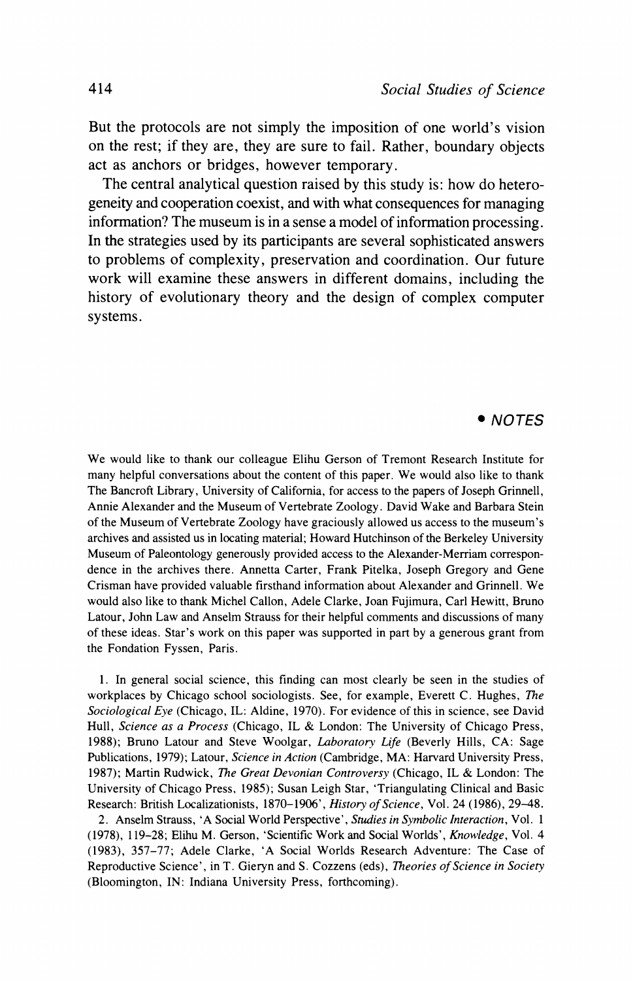**But the protocols are not simply the imposition of one world's vision on the rest; if they are, they are sure to fail. Rather, boundary objects act as anchors or bridges, however temporary.** 

**The central analytical question raised by this study is: how do heterogeneity and cooperation coexist, and with what consequences for managing information? The museum is in a sense a model of information processing. In the strategies used by its participants are several sophisticated answers to problems of complexity, preservation and coordination. Our future work will examine these answers in different domains, including the history of evolutionary theory and the design of complex computer systems.** 

### **\* NOTES**

**We would like to thank our colleague Elihu Gerson of Tremont Research Institute for many helpful conversations about the content of this paper. We would also like to thank The Bancroft Library, University of California, for access to the papers of Joseph Grinnell, Annie Alexander and the Museum of Vertebrate Zoology. David Wake and Barbara Stein of the Museum of Vertebrate Zoology have graciously allowed us access to the museum's archives and assisted us in locating material; Howard Hutchinson of the Berkeley University Museum of Paleontology generously provided access to the Alexander-Merriam correspondence in the archives there. Annetta Carter, Frank Pitelka, Joseph Gregory and Gene Crisman have provided valuable firsthand information about Alexander and Grinnell. We would also like to thank Michel Callon, Adele Clarke, Joan Fujimura, Carl Hewitt, Bruno Latour, John Law and Anselm Strauss for their helpful comments and discussions of many of these ideas. Star's work on this paper was supported in part by a generous grant from the Fondation Fyssen, Paris.** 

**1. In general social science, this finding can most clearly be seen in the studies of workplaces by Chicago school sociologists. See, for example, Everett C. Hughes, The Sociological Eye (Chicago, IL: Aldine, 1970). For evidence of this in science, see David Hull, Science as a Process (Chicago, IL & London: The University of Chicago Press, 1988); Bruno Latour and Steve Woolgar, Laboratory Life (Beverly Hills, CA: Sage Publications, 1979); Latour, Science in Action (Cambridge, MA: Harvard University Press, 1987); Martin Rudwick, The Great Devonian Controversy (Chicago, IL & London: The University of Chicago Press, 1985); Susan Leigh Star, 'Triangulating Clinical and Basic Research: British Localizationists, 1870-1906', History of Science, Vol. 24 (1986), 29-48.** 

**2. Anselm Strauss, 'A Social World Perspective', Studies in Symbolic Interaction, Vol. 1 (1978), 119-28; Elihu M. Gerson, 'Scientific Work and Social Worlds', Knowledge, Vol. 4 (1983), 357-77; Adele Clarke, 'A Social Worlds Research Adventure: The Case of Reproductive Science', in T. Gieryn and S. Cozzens (eds), Theories of Science in Society (Bloomington, IN: Indiana University Press, forthcoming).**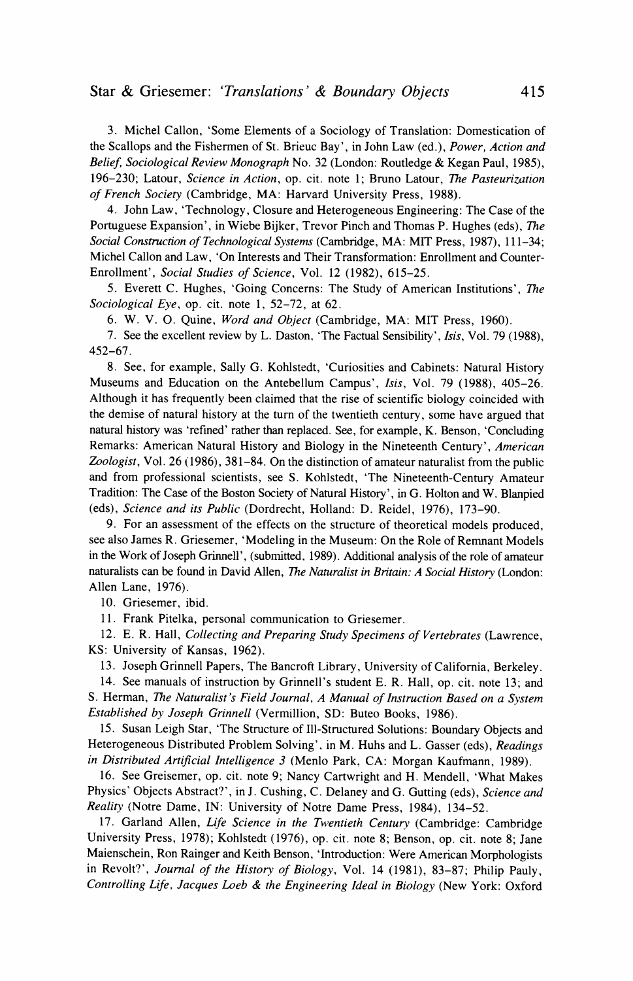**3. Michel Callon, 'Some Elements of a Sociology of Translation: Domestication of the Scallops and the Fishermen of St. Brieuc Bay', in John Law (ed.), Power, Action and Belief, Sociological Review Monograph No. 32 (London: Routledge & Kegan Paul, 1985), 196-230; Latour, Science in Action, op. cit. note 1; Bruno Latour, The Pasteurization of French Society (Cambridge, MA: Harvard University Press, 1988).** 

**4. John Law, 'Technology, Closure and Heterogeneous Engineering: The Case of the Portuguese Expansion', in Wiebe Bijker, Trevor Pinch and Thomas P. Hughes (eds), The Social Construction of Technological Systems (Cambridge, MA: MIT Press, 1987), 111-34; Michel Callon and Law, 'On Interests and Their Transformation: Enrollment and Counter-Enrollment', Social Studies of Science, Vol. 12 (1982), 615-25.** 

**5. Everett C. Hughes, 'Going Concerns: The Study of American Institutions', The Sociological Eye, op. cit. note 1, 52-72, at 62.** 

**6. W. V. O. Quine, Word and Object (Cambridge, MA: MIT Press, 1960).** 

**7. See the excellent review by L. Daston, 'The Factual Sensibility', Isis, Vol. 79 (1988), 452-67.** 

**8. See, for example, Sally G. Kohlstedt, 'Curiosities and Cabinets: Natural History Museums and Education on the Antebellum Campus', Isis, Vol. 79 (1988), 405-26. Although it has frequently been claimed that the rise of scientific biology coincided with the demise of natural history at the turn of the twentieth century, some have argued that natural history was 'refined' rather than replaced. See, for example, K. Benson, 'Concluding Remarks: American Natural History and Biology in the Nineteenth Century', American Zoologist, Vol. 26 (1986), 381-84. On the distinction of amateur naturalist from the public and from professional scientists, see S. Kohlstedt, 'The Nineteenth-Century Amateur Tradition: The Case of the Boston Society of Natural History', in G. Holton and W. Blanpied (eds), Science and its Public (Dordrecht, Holland: D. Reidel, 1976), 173-90.** 

**9. For an assessment of the effects on the structure of theoretical models produced, see also James R. Griesemer, 'Modeling in the Museum: On the Role of Remnant Models in the Work of Joseph Grinnell', (submitted, 1989). Additional analysis of the role of amateur naturalists can be found in David Allen, The Naturalist in Britain: A Social History (London: Allen Lane, 1976).** 

**10. Griesemer, ibid.** 

**11. Frank Pitelka, personal communication to Griesemer.** 

**12. E. R. Hall, Collecting and Preparing Study Specimens of Vertebrates (Lawrence, KS: University of Kansas, 1962).** 

**13. Joseph Grinnell Papers, The Bancroft Library, University of California, Berkeley.** 

**14. See manuals of instruction by Grinnell's student E. R. Hall, op. cit. note 13; and S. Herman, The Naturalist's Field Journal, A Manual of Instruction Based on a System Established by Joseph Grinnell (Vermillion, SD: Buteo Books, 1986).** 

**15. Susan Leigh Star, 'The Structure of Ill-Structured Solutions: Boundary Objects and Heterogeneous Distributed Problem Solving', in M. Huhs and L. Gasser (eds), Readings in Distributed Artificial Intelligence 3 (Menlo Park, CA: Morgan Kaufmann, 1989).** 

**16. See Greisemer, op. cit. note 9; Nancy Cartwright and H. Mendell, 'What Makes Physics' Objects Abstract?', in J. Cushing, C. Delaney and G. Gutting (eds), Science and Reality (Notre Dame, IN: University of Notre Dame Press, 1984), 134-52.** 

**17. Garland Allen, Life Science in the Twentieth Century (Cambridge: Cambridge University Press, 1978); Kohlstedt (1976), op. cit. note 8; Benson, op. cit. note 8; Jane Maienschein, Ron Rainger and Keith Benson, 'Introduction: Were American Morphologists in Revolt?', Journal of the History of Biology, Vol. 14 (1981), 83-87; Philip Pauly, Controlling Life, Jacques Loeb & the Engineering Ideal in Biology (New York: Oxford**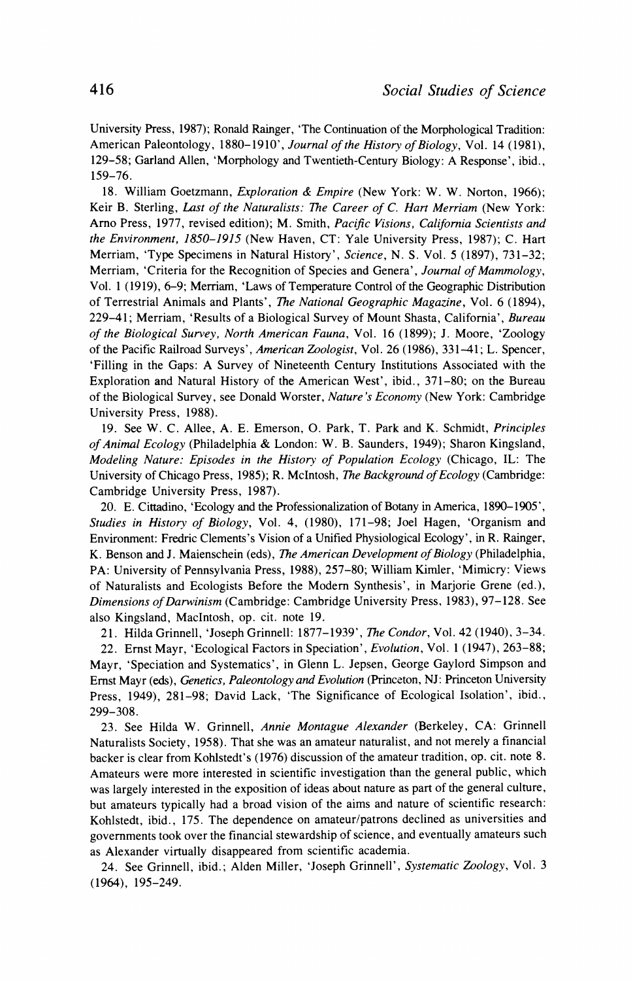**University Press, 1987); Ronald Rainger, 'The Continuation of the Morphological Tradition: American Paleontology, 1880-1910', Journal of the History of Biology, Vol. 14 (1981), 129-58; Garland Allen, 'Morphology and Twentieth-Century Biology: A Response', ibid., 159-76.** 

**18. William Goetzmann, Exploration & Empire (New York: W. W. Norton, 1966); Keir B. Sterling, Last of the Naturalists: The Career of C. Hart Merriam (New York: Arno Press, 1977, revised edition); M. Smith, Pacific Visions, California Scientists and the Environment, 1850-1915 (New Haven, CT: Yale University Press, 1987); C. Hart Merriam, 'Type Specimens in Natural History', Science, N. S. Vol. 5 (1897), 731-32; Merriam, 'Criteria for the Recognition of Species and Genera', Journal of Mammology, Vol. 1 (1919), 6-9; Merriam, 'Laws of Temperature Control of the Geographic Distribution of Terrestrial Animals and Plants', The National Geographic Magazine, Vol. 6 (1894), 229-41; Merriam, 'Results of a Biological Survey of Mount Shasta, California', Bureau of the Biological Survey, North American Fauna, Vol. 16 (1899); J. Moore, 'Zoology of the Pacific Railroad Surveys', American Zoologist, Vol. 26 (1986), 331-41; L. Spencer, 'Filling in the Gaps: A Survey of Nineteenth Century Institutions Associated with the Exploration and Natural History of the American West', ibid., 371-80; on the Bureau of the Biological Survey, see Donald Worster, Nature's Economy (New York: Cambridge University Press, 1988).** 

**19. See W. C. Allee, A. E. Emerson, O. Park, T. Park and K. Schmidt, Principles of Animal Ecology (Philadelphia & London: W. B. Saunders, 1949); Sharon Kingsland, Modeling Nature: Episodes in the History of Population Ecology (Chicago, IL: The University of Chicago Press, 1985); R. McIntosh, The Background of Ecology (Cambridge: Cambridge University Press, 1987).** 

**20. E. Cittadino, 'Ecology and the Professionalization of Botany in America, 1890-1905', Studies in History of Biology, Vol. 4, (1980), 171-98; Joel Hagen, 'Organism and Environment: Fredric Clements's Vision of a Unified Physiological Ecology', in R. Rainger, K. Benson and J. Maienschein (eds), The American Development of Biology (Philadelphia, PA: University of Pennsylvania Press, 1988), 257-80; William Kimler, 'Mimicry: Views of Naturalists and Ecologists Before the Modern Synthesis', in Marjorie Grene (ed.), Dimensions of Darwinism (Cambridge: Cambridge University Press, 1983), 97-128. See also Kingsland, MacIntosh, op. cit. note 19.** 

**21. Hilda Grinnell, 'Joseph Grinnell: 1877-1939', The Condor, Vol. 42 (1940), 3-34.** 

**22. Ernst Mayr, 'Ecological Factors in Speciation', Evolution, Vol. 1 (1947), 263-88; Mayr, 'Speciation and Systematics', in Glenn L. Jepsen, George Gaylord Simpson and Ernst Mayr (eds), Genetics, Paleontology and Evolution (Princeton, NJ: Princeton University Press, 1949), 281-98; David Lack, 'The Significance of Ecological Isolation', ibid., 299-308.** 

**23. See Hilda W. Grinnell, Annie Montague Alexander (Berkeley, CA: Grinnell Naturalists Society, 1958). That she was an amateur naturalist, and not merely a financial backer is clear from Kohlstedt's (1976) discussion of the amateur tradition, op. cit. note 8. Amateurs were more interested in scientific investigation than the general public, which was largely interested in the exposition of ideas about nature as part of the general culture, but amateurs typically had a broad vision of the aims and nature of scientific research: Kohlstedt, ibid., 175. The dependence on amateur/patrons declined as universities and governments took over the financial stewardship of science, and eventually amateurs such as Alexander virtually disappeared from scientific academia.** 

**24. See Grinnell, ibid.; Alden Miller, 'Joseph Grinnell', Systematic Zoology, Vol. 3 (1964), 195-249.**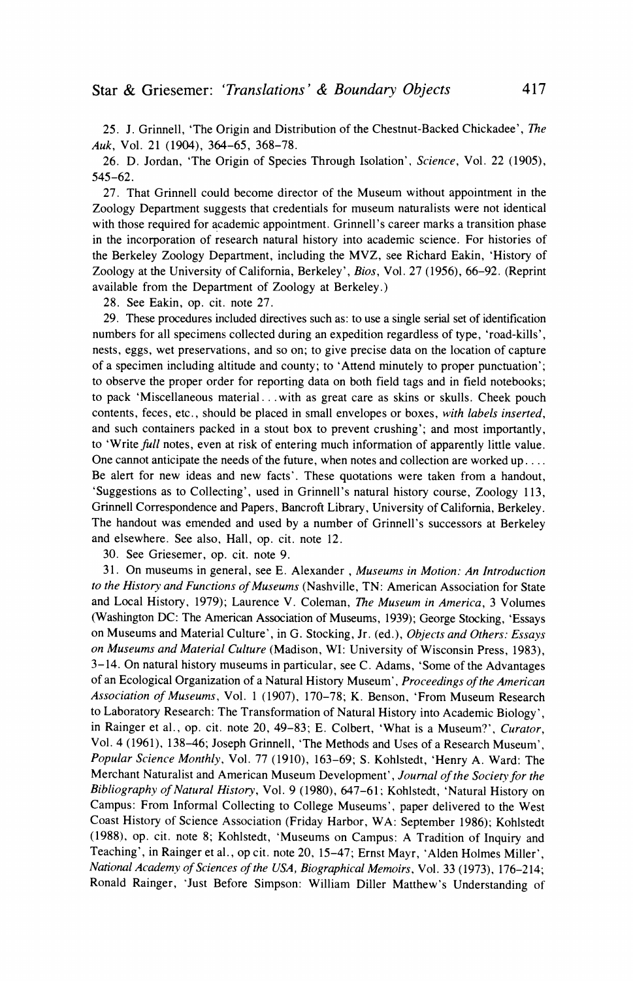**25. J. Grinnell, 'The Origin and Distribution of the Chestnut-Backed Chickadee', The Auk, Vol. 21 (1904), 364-65, 368-78.** 

**26. D. Jordan, 'The Origin of Species Through Isolation', Science, Vol. 22 (1905), 545-62.** 

**27. That Grinnell could become director of the Museum without appointment in the Zoology Department suggests that credentials for museum naturalists were not identical with those required for academic appointment. Grinnell's career marks a transition phase in the incorporation of research natural history into academic science. For histories of the Berkeley Zoology Department, including the MVZ, see Richard Eakin, 'History of Zoology at the University of California, Berkeley', Bios, Vol. 27 (1956), 66-92. (Reprint available from the Department of Zoology at Berkeley.)** 

**28. See Eakin, op. cit. note 27.** 

**29. These procedures included directives such as: to use a single serial set of identification numbers for all specimens collected during an expedition regardless of type, 'road-kills', nests, eggs, wet preservations, and so on; to give precise data on the location of capture of a specimen including altitude and county; to 'Attend minutely to proper punctuation'; to observe the proper order for reporting data on both field tags and in field notebooks; to pack 'Miscellaneous material.. .with as great care as skins or skulls. Cheek pouch contents, feces, etc., should be placed in small envelopes or boxes, with labels inserted, and such containers packed in a stout box to prevent crushing'; and most importantly, to 'Write full notes, even at risk of entering much information of apparently little value. One cannot anticipate the needs of the future, when notes and collection are worked up.... Be alert for new ideas and new facts'. These quotations were taken from a handout, 'Suggestions as to Collecting', used in Grinnell's natural history course, Zoology 113, Grinnell Correspondence and Papers, Bancroft Library, University of California, Berkeley. The handout was emended and used by a number of Grinnell's successors at Berkeley and elsewhere. See also, Hall, op. cit. note 12.** 

**30. See Griesemer, op. cit. note 9.** 

**31. On museums in general, see E. Alexander , Museums in Motion: An Introduction to the History and Functions of Museums (Nashville, TN: American Association for State and Local History, 1979); Laurence V. Coleman, The Museum in America, 3 Volumes (Washington DC: The American Association of Museums, 1939); George Stocking, 'Essays on Museums and Material Culture', in G. Stocking, Jr. (ed.), Objects and Others: Essays on Museums and Material Culture (Madison, WI: University of Wisconsin Press, 1983), 3-14. On natural history museums in particular, see C. Adams, 'Some of the Advantages of an Ecological Organization of a Natural History Museum', Proceedings of the American Association of Museums, Vol. 1 (1907), 170-78; K. Benson, 'From Museum Research to Laboratory Research: The Transformation of Natural History into Academic Biology', in Rainger et al., op. cit. note 20, 49-83; E. Colbert, 'What is a Museum?', Curator, Vol. 4 (1961), 138-46; Joseph Grinnell, 'The Methods and Uses of a Research Museum', Popular Science Monthly, Vol. 77 (1910), 163-69; S. Kohlstedt, 'Henry A. Ward: The Merchant Naturalist and American Museum Development', Journal of the Society for the Bibliography of Natural History, Vol. 9 (1980), 647-61; Kohlstedt, 'Natural History on Campus: From Informal Collecting to College Museums', paper delivered to the West Coast History of Science Association (Friday Harbor, WA: September 1986); Kohlstedt (1988), op. cit. note 8; Kohlstedt, 'Museums on Campus: A Tradition of Inquiry and Teaching', in Rainger et al., op cit. note 20, 15-47; Ernst Mayr, 'Alden Holmes Miller', National Academy of Sciences of the USA, Biographical Memoirs, Vol. 33 (1973), 176-214; Ronald Rainger, 'Just Before Simpson: William Diller Matthew's Understanding of**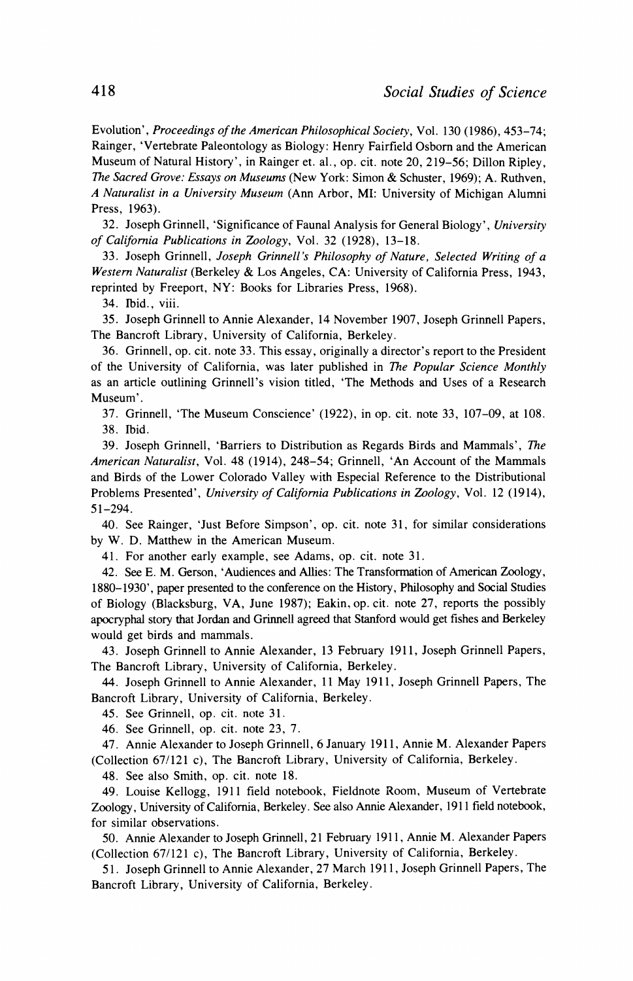**Evolution', Proceedings of the American Philosophical Society, Vol. 130 (1986), 453-74; Rainger, 'Vertebrate Paleontology as Biology: Henry Fairfield Osborn and the American Museum of Natural History', in Rainger et. al., op. cit. note 20, 219-56; Dillon Ripley, The Sacred Grove: Essays on Museums (New York: Simon & Schuster, 1969); A. Ruthven, A Naturalist in a University Museum (Ann Arbor, MI: University of Michigan Alumni Press, 1963).** 

**32. Joseph Grinnell, 'Significance of Faunal Analysis for General Biology', University of California Publications in Zoology, Vol. 32 (1928), 13-18.** 

**33. Joseph Grinnell, Joseph Grinnell's Philosophy of Nature, Selected Writing of a Western Naturalist (Berkeley & Los Angeles, CA: University of California Press, 1943, reprinted by Freeport, NY: Books for Libraries Press, 1968).** 

**34. Ibid., viii.** 

**35. Joseph Grinnell to Annie Alexander, 14 November 1907, Joseph Grinnell Papers, The Bancroft Library, University of California, Berkeley.** 

**36. Grinnell, op. cit. note 33. This essay, originally a director's report to the President of the University of California, was later published in The Popular Science Monthly as an article outlining Grinnell's vision titled, 'The Methods and Uses of a Research Museum'.** 

**37. Grinnell, 'The Museum Conscience' (1922), in op. cit. note 33, 107-09, at 108. 38. Ibid.** 

**39. Joseph Grinnell, 'Barriers to Distribution as Regards Birds and Mammals', The American Naturalist, Vol. 48 (1914), 248-54; Grinnell, 'An Account of the Mammals and Birds of the Lower Colorado Valley with Especial Reference to the Distributional Problems Presented', University of California Publications in Zoology, Vol. 12 (1914), 51-294.** 

**40. See Rainger, 'Just Before Simpson', op. cit. note 31, for similar considerations by W. D. Matthew in the American Museum.** 

**41. For another early example, see Adams, op. cit. note 31.** 

**42. See E. M. Gerson, 'Audiences and Allies: The Transformation of American Zoology, 1880-1930', paper presented to the conference on the History, Philosophy and Social Studies of Biology (Blacksburg, VA, June 1987); Eakin, op. cit. note 27, reports the possibly apocryphal story that Jordan and Grinnell agreed that Stanford would get fishes and Berkeley would get birds and mammals.** 

**43. Joseph Grinnell to Annie Alexander, 13 February 1911, Joseph Grinnell Papers, The Bancroft Library, University of California, Berkeley.** 

**44. Joseph Grinnell to Annie Alexander, 11 May 1911, Joseph Grinnell Papers, The Bancroft Library, University of California, Berkeley.** 

**45. See Grinnell, op. cit. note 31.** 

**46. See Grinnell, op. cit. note 23, 7.** 

**47. Annie Alexander to Joseph Grinnell, 6 January 1911, Annie M. Alexander Papers (Collection 67/121 c), The Bancroft Library, University of California, Berkeley.** 

**48. See also Smith, op. cit. note 18.** 

**49. Louise Kellogg, 1911 field notebook, Fieldnote Room, Museum of Vertebrate Zoology, University of California, Berkeley. See also Annie Alexander, 1911 field notebook, for similar observations.** 

**50. Annie Alexander to Joseph Grinnell, 21 February 1911, Annie M. Alexander Papers (Collection 67/121 c), The Bancroft Library, University of California, Berkeley.** 

**51. Joseph Grinnell to Annie Alexander, 27 March 1911, Joseph Grinnell Papers, The Bancroft Library, University of California, Berkeley.**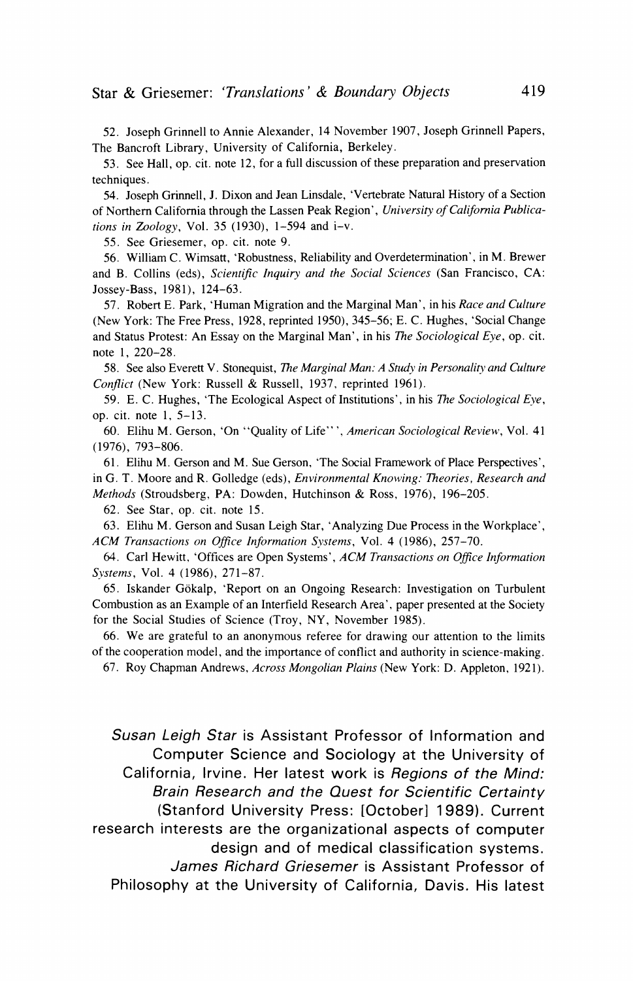**52. Joseph Grinnell to Annie Alexander, 14 November 1907, Joseph Grinnell Papers, The Bancroft Library, University of California, Berkeley.** 

**53. See Hall, op. cit. note 12, for a full discussion of these preparation and preservation techniques.** 

**54. Joseph Grinnell, J. Dixon and Jean Linsdale, 'Vertebrate Natural History of a Section of Northern California through the Lassen Peak Region', University of California Publications in Zoology, Vol. 35 (1930), 1-594 and i-v.** 

**55. See Griesemer, op. cit. note 9.** 

**56. William C. Wimsatt, 'Robustness, Reliability and Overdetermination', in M. Brewer and B. Collins (eds), Scientific Inquiry and the Social Sciences (San Francisco, CA: Jossey-Bass, 1981), 124-63.** 

**57. Robert E. Park, 'Human Migration and the Marginal Man', in his Race and Culture (New York: The Free Press, 1928, reprinted 1950), 345-56; E. C. Hughes, 'Social Change and Status Protest: An Essay on the Marginal Man', in his The Sociological Eye, op. cit. note 1, 220-28.** 

**58. See also Everett V. Stonequist, The Marginal Man: A Study in Personality and Culture Conflict (New York: Russell & Russell, 1937, reprinted 1961).** 

**59. E. C. Hughes, 'The Ecological Aspect of Institutions', in his The Sociological Eye, op. cit. note 1, 5-13.** 

**60. Elihu M. Gerson, 'On "Quality of Life" ', American Sociological Review, Vol. 41 (1976), 793-806.** 

**61. Elihu M. Gerson and M. Sue Gerson, 'The Social Framework of Place Perspectives', in G. T. Moore and R. Golledge (eds), Environmental Knowing: Theories, Research and Methods (Stroudsberg, PA: Dowden, Hutchinson & Ross, 1976), 196-205.** 

**62. See Star, op. cit. note 15.** 

**63. Elihu M. Gerson and Susan Leigh Star, 'Analyzing Due Process in the Workplace', ACM Transactions on Office Information Systems, Vol. 4 (1986), 257-70.** 

**64. Carl Hewitt, 'Offices are Open Systems', ACM Transactions on Office Information Systems, Vol. 4 (1986), 271-87.** 

**65. Iskander G6kalp, 'Report on an Ongoing Research: Investigation on Turbulent Combustion as an Example of an Interfield Research Area', paper presented at the Society for the Social Studies of Science (Troy, NY, November 1985).** 

**66. We are grateful to an anonymous referee for drawing our attention to the limits of the cooperation model, and the importance of conflict and authority in science-making.** 

**67. Roy Chapman Andrews, Across Mongolian Plains (New York: D. Appleton, 1921).** 

**Susan Leigh Star is Assistant Professor of Information and Computer Science and Sociology at the University of California, Irvine. Her latest work is Regions of the Mind: Brain Research and the Quest for Scientific Certainty (Stanford University Press: [October] 1989). Current research interests are the organizational aspects of computer design and of medical classification systems. James Richard Griesemer is Assistant Professor of Philosophy at the University of California, Davis. His latest**